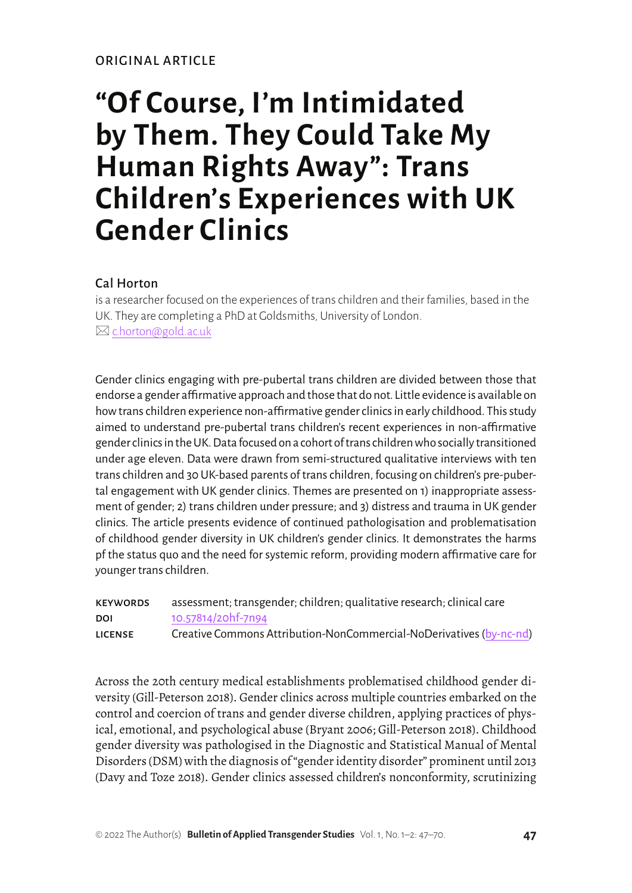#### ORIGINAL ARTICLE

# **"Of Course, I'm Intimidated by Them. They Could Take My Human Rights Away": Trans Children's Experiences with UK Gender Clinics**

### Cal Horton

is a researcher focused on the experiences of trans children and their families, based in the UK. They are completing a PhD at Goldsmiths, University of London.  $\boxtimes$  [c.horton@gold.ac.uk](mailto:c.horton%40gold.ac.uk?subject=)

Gender clinics engaging with pre-pubertal trans children are divided between those that endorse a gender affirmative approach and those that do not. Little evidence is available on how trans children experience non-affirmative gender clinics in early childhood. This study aimed to understand pre-pubertal trans children's recent experiences in non-affirmative gender clinics in the UK. Data focused on a cohort of trans children who socially transitioned under age eleven. Data were drawn from semi-structured qualitative interviews with ten trans children and 30 UK-based parents of trans children, focusing on children's pre-pubertal engagement with UK gender clinics. Themes are presented on 1) inappropriate assessment of gender; 2) trans children under pressure; and 3) distress and trauma in UK gender clinics. The article presents evidence of continued pathologisation and problematisation of childhood gender diversity in UK children's gender clinics. It demonstrates the harms pf the status quo and the need for systemic reform, providing modern affirmative care for younger trans children.

| <b>KEYWORDS</b> | assessment; transgender; children; qualitative research; clinical care |
|-----------------|------------------------------------------------------------------------|
| DOI             | 10.57814/20hf-7n94                                                     |
| <b>LICENSE</b>  | Creative Commons Attribution-NonCommercial-NoDerivatives (by-nc-nd)    |

Across the 20th century medical establishments problematised childhood gender diversity (Gill-Peterson 2018). Gender clinics across multiple countries embarked on the control and coercion of trans and gender diverse children, applying practices of physical, emotional, and psychological abuse (Bryant 2006; Gill-Peterson 2018). Childhood gender diversity was pathologised in the Diagnostic and Statistical Manual of Mental Disorders (DSM) with the diagnosis of "gender identity disorder" prominent until 2013 (Davy and Toze 2018). Gender clinics assessed children's nonconformity, scrutinizing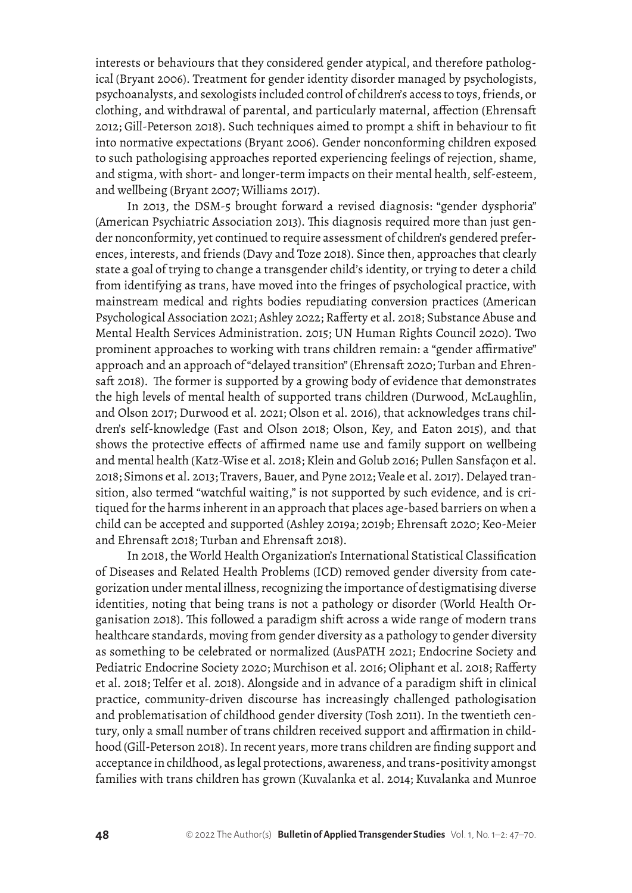interests or behaviours that they considered gender atypical, and therefore pathological (Bryant 2006). Treatment for gender identity disorder managed by psychologists, psychoanalysts, and sexologists included control of children's access to toys, friends, or clothing, and withdrawal of parental, and particularly maternal, affection (Ehrensaft 2012; Gill-Peterson 2018). Such techniques aimed to prompt a shift in behaviour to fit into normative expectations (Bryant 2006). Gender nonconforming children exposed to such pathologising approaches reported experiencing feelings of rejection, shame, and stigma, with short- and longer-term impacts on their mental health, self-esteem, and wellbeing (Bryant 2007; Williams 2017).

In 2013, the DSM-5 brought forward a revised diagnosis: "gender dysphoria" (American Psychiatric Association 2013). This diagnosis required more than just gender nonconformity, yet continued to require assessment of children's gendered preferences, interests, and friends (Davy and Toze 2018). Since then, approaches that clearly state a goal of trying to change a transgender child's identity, or trying to deter a child from identifying as trans, have moved into the fringes of psychological practice, with mainstream medical and rights bodies repudiating conversion practices (American Psychological Association 2021; Ashley 2022; Rafferty et al. 2018; Substance Abuse and Mental Health Services Administration. 2015; UN Human Rights Council 2020). Two prominent approaches to working with trans children remain: a "gender affirmative" approach and an approach of "delayed transition" (Ehrensaft 2020; Turban and Ehrensaft 2018). The former is supported by a growing body of evidence that demonstrates the high levels of mental health of supported trans children (Durwood, McLaughlin, and Olson 2017; Durwood et al. 2021; Olson et al. 2016), that acknowledges trans children's self-knowledge (Fast and Olson 2018; Olson, Key, and Eaton 2015), and that shows the protective effects of affirmed name use and family support on wellbeing and mental health (Katz-Wise et al. 2018; Klein and Golub 2016; Pullen Sansfaçon et al. 2018; Simons et al. 2013; Travers, Bauer, and Pyne 2012; Veale et al. 2017). Delayed transition, also termed "watchful waiting," is not supported by such evidence, and is critiqued for the harms inherent in an approach that places age-based barriers on when a child can be accepted and supported (Ashley 2019a; 2019b; Ehrensaft 2020; Keo-Meier and Ehrensaft 2018; Turban and Ehrensaft 2018).

In 2018, the World Health Organization's International Statistical Classification of Diseases and Related Health Problems (ICD) removed gender diversity from categorization under mental illness, recognizing the importance of destigmatising diverse identities, noting that being trans is not a pathology or disorder (World Health Organisation 2018). This followed a paradigm shift across a wide range of modern trans healthcare standards, moving from gender diversity as a pathology to gender diversity as something to be celebrated or normalized (AusPATH 2021; Endocrine Society and Pediatric Endocrine Society 2020; Murchison et al. 2016; Oliphant et al. 2018; Rafferty et al. 2018; Telfer et al. 2018). Alongside and in advance of a paradigm shift in clinical practice, community-driven discourse has increasingly challenged pathologisation and problematisation of childhood gender diversity (Tosh 2011). In the twentieth century, only a small number of trans children received support and affirmation in childhood (Gill-Peterson 2018). In recent years, more trans children are finding support and acceptance in childhood, as legal protections, awareness, and trans-positivity amongst families with trans children has grown (Kuvalanka et al. 2014; Kuvalanka and Munroe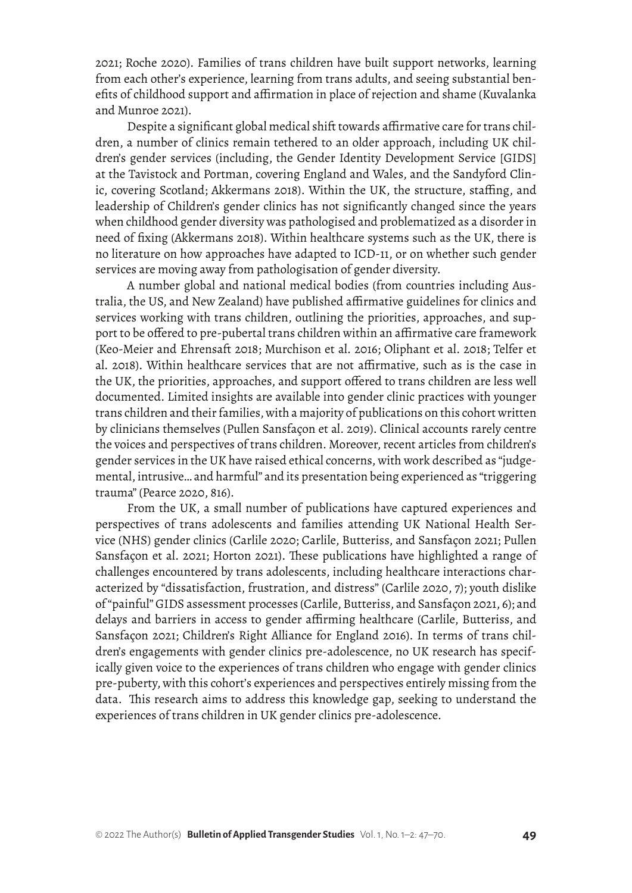2021; Roche 2020). Families of trans children have built support networks, learning from each other's experience, learning from trans adults, and seeing substantial benefits of childhood support and affirmation in place of rejection and shame (Kuvalanka and Munroe 2021).

Despite a significant global medical shift towards affirmative care for trans children, a number of clinics remain tethered to an older approach, including UK children's gender services (including, the Gender Identity Development Service [GIDS] at the Tavistock and Portman, covering England and Wales, and the Sandyford Clinic, covering Scotland; Akkermans 2018). Within the UK, the structure, staffing, and leadership of Children's gender clinics has not significantly changed since the years when childhood gender diversity was pathologised and problematized as a disorder in need of fixing (Akkermans 2018). Within healthcare systems such as the UK, there is no literature on how approaches have adapted to ICD-11, or on whether such gender services are moving away from pathologisation of gender diversity.

A number global and national medical bodies (from countries including Australia, the US, and New Zealand) have published affirmative guidelines for clinics and services working with trans children, outlining the priorities, approaches, and support to be offered to pre-pubertal trans children within an affirmative care framework (Keo-Meier and Ehrensaft 2018; Murchison et al. 2016; Oliphant et al. 2018; Telfer et al. 2018). Within healthcare services that are not affirmative, such as is the case in the UK, the priorities, approaches, and support offered to trans children are less well documented. Limited insights are available into gender clinic practices with younger trans children and their families, with a majority of publications on this cohort written by clinicians themselves (Pullen Sansfaçon et al. 2019). Clinical accounts rarely centre the voices and perspectives of trans children. Moreover, recent articles from children's gender services in the UK have raised ethical concerns, with work described as "judgemental, intrusive… and harmful" and its presentation being experienced as "triggering trauma" (Pearce 2020, 816).

From the UK, a small number of publications have captured experiences and perspectives of trans adolescents and families attending UK National Health Service (NHS) gender clinics (Carlile 2020; Carlile, Butteriss, and Sansfaçon 2021; Pullen Sansfaçon et al. 2021; Horton 2021). These publications have highlighted a range of challenges encountered by trans adolescents, including healthcare interactions characterized by "dissatisfaction, frustration, and distress" (Carlile 2020, 7); youth dislike of "painful" GIDS assessment processes (Carlile, Butteriss, and Sansfaçon 2021, 6); and delays and barriers in access to gender affirming healthcare (Carlile, Butteriss, and Sansfaçon 2021; Children's Right Alliance for England 2016). In terms of trans children's engagements with gender clinics pre-adolescence, no UK research has specifically given voice to the experiences of trans children who engage with gender clinics pre-puberty, with this cohort's experiences and perspectives entirely missing from the data. This research aims to address this knowledge gap, seeking to understand the experiences of trans children in UK gender clinics pre-adolescence.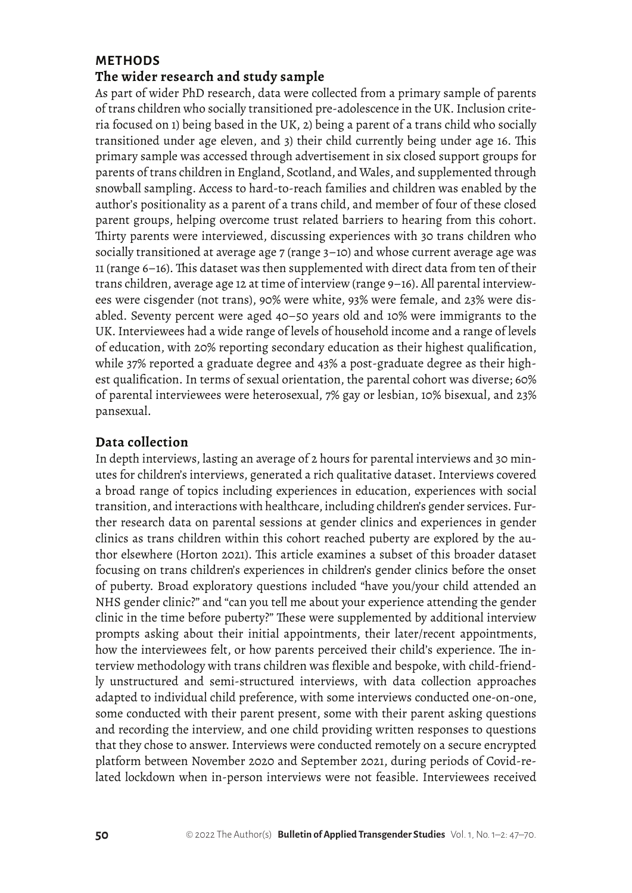### **METHODS**

## **The wider research and study sample**

As part of wider PhD research, data were collected from a primary sample of parents of trans children who socially transitioned pre-adolescence in the UK. Inclusion criteria focused on 1) being based in the UK, 2) being a parent of a trans child who socially transitioned under age eleven, and 3) their child currently being under age 16. This primary sample was accessed through advertisement in six closed support groups for parents of trans children in England, Scotland, and Wales, and supplemented through snowball sampling. Access to hard-to-reach families and children was enabled by the author's positionality as a parent of a trans child, and member of four of these closed parent groups, helping overcome trust related barriers to hearing from this cohort. Thirty parents were interviewed, discussing experiences with 30 trans children who socially transitioned at average age 7 (range 3–10) and whose current average age was 11 (range 6–16). This dataset was then supplemented with direct data from ten of their trans children, average age 12 at time of interview (range 9–16). All parental interviewees were cisgender (not trans), 90% were white, 93% were female, and 23% were disabled. Seventy percent were aged 40–50 years old and 10% were immigrants to the UK. Interviewees had a wide range of levels of household income and a range of levels of education, with 20% reporting secondary education as their highest qualification, while 37% reported a graduate degree and 43% a post-graduate degree as their highest qualification. In terms of sexual orientation, the parental cohort was diverse; 60% of parental interviewees were heterosexual, 7% gay or lesbian, 10% bisexual, and 23% pansexual.

#### **Data collection**

In depth interviews, lasting an average of 2 hours for parental interviews and 30 minutes for children's interviews, generated a rich qualitative dataset. Interviews covered a broad range of topics including experiences in education, experiences with social transition, and interactions with healthcare, including children's gender services. Further research data on parental sessions at gender clinics and experiences in gender clinics as trans children within this cohort reached puberty are explored by the author elsewhere (Horton 2021). This article examines a subset of this broader dataset focusing on trans children's experiences in children's gender clinics before the onset of puberty. Broad exploratory questions included "have you/your child attended an NHS gender clinic?" and "can you tell me about your experience attending the gender clinic in the time before puberty?" These were supplemented by additional interview prompts asking about their initial appointments, their later/recent appointments, how the interviewees felt, or how parents perceived their child's experience. The interview methodology with trans children was flexible and bespoke, with child-friendly unstructured and semi-structured interviews, with data collection approaches adapted to individual child preference, with some interviews conducted one-on-one, some conducted with their parent present, some with their parent asking questions and recording the interview, and one child providing written responses to questions that they chose to answer. Interviews were conducted remotely on a secure encrypted platform between November 2020 and September 2021, during periods of Covid-related lockdown when in-person interviews were not feasible. Interviewees received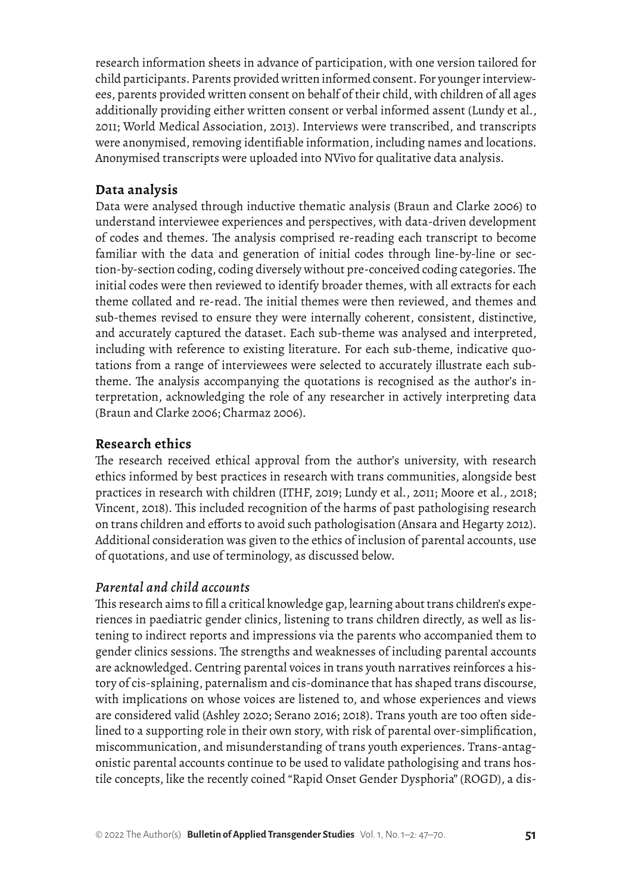research information sheets in advance of participation, with one version tailored for child participants. Parents provided written informed consent. For younger interviewees, parents provided written consent on behalf of their child, with children of all ages additionally providing either written consent or verbal informed assent (Lundy et al., 2011; World Medical Association, 2013). Interviews were transcribed, and transcripts were anonymised, removing identifiable information, including names and locations. Anonymised transcripts were uploaded into NVivo for qualitative data analysis.

#### **Data analysis**

Data were analysed through inductive thematic analysis (Braun and Clarke 2006) to understand interviewee experiences and perspectives, with data-driven development of codes and themes. The analysis comprised re-reading each transcript to become familiar with the data and generation of initial codes through line-by-line or section-by-section coding, coding diversely without pre-conceived coding categories. The initial codes were then reviewed to identify broader themes, with all extracts for each theme collated and re-read. The initial themes were then reviewed, and themes and sub-themes revised to ensure they were internally coherent, consistent, distinctive, and accurately captured the dataset. Each sub-theme was analysed and interpreted, including with reference to existing literature. For each sub-theme, indicative quotations from a range of interviewees were selected to accurately illustrate each subtheme. The analysis accompanying the quotations is recognised as the author's interpretation, acknowledging the role of any researcher in actively interpreting data (Braun and Clarke 2006; Charmaz 2006).

#### **Research ethics**

The research received ethical approval from the author's university, with research ethics informed by best practices in research with trans communities, alongside best practices in research with children (ITHF, 2019; Lundy et al., 2011; Moore et al., 2018; Vincent, 2018). This included recognition of the harms of past pathologising research on trans children and efforts to avoid such pathologisation (Ansara and Hegarty 2012). Additional consideration was given to the ethics of inclusion of parental accounts, use of quotations, and use of terminology, as discussed below.

#### *Parental and child accounts*

This research aims to fill a critical knowledge gap, learning about trans children's experiences in paediatric gender clinics, listening to trans children directly, as well as listening to indirect reports and impressions via the parents who accompanied them to gender clinics sessions. The strengths and weaknesses of including parental accounts are acknowledged. Centring parental voices in trans youth narratives reinforces a history of cis-splaining, paternalism and cis-dominance that has shaped trans discourse, with implications on whose voices are listened to, and whose experiences and views are considered valid (Ashley 2020; Serano 2016; 2018). Trans youth are too often sidelined to a supporting role in their own story, with risk of parental over-simplification, miscommunication, and misunderstanding of trans youth experiences. Trans-antagonistic parental accounts continue to be used to validate pathologising and trans hostile concepts, like the recently coined "Rapid Onset Gender Dysphoria" (ROGD), a dis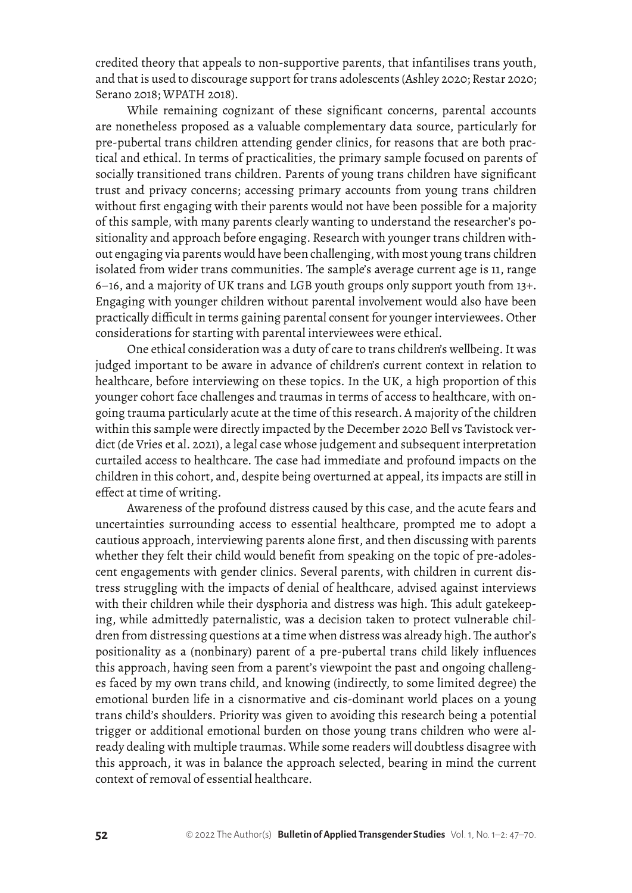credited theory that appeals to non-supportive parents, that infantilises trans youth, and that is used to discourage support for trans adolescents (Ashley 2020; Restar 2020; Serano 2018; WPATH 2018).

While remaining cognizant of these significant concerns, parental accounts are nonetheless proposed as a valuable complementary data source, particularly for pre-pubertal trans children attending gender clinics, for reasons that are both practical and ethical. In terms of practicalities, the primary sample focused on parents of socially transitioned trans children. Parents of young trans children have significant trust and privacy concerns; accessing primary accounts from young trans children without first engaging with their parents would not have been possible for a majority of this sample, with many parents clearly wanting to understand the researcher's positionality and approach before engaging. Research with younger trans children without engaging via parents would have been challenging, with most young trans children isolated from wider trans communities. The sample's average current age is 11, range 6–16, and a majority of UK trans and LGB youth groups only support youth from 13+. Engaging with younger children without parental involvement would also have been practically difficult in terms gaining parental consent for younger interviewees. Other considerations for starting with parental interviewees were ethical.

One ethical consideration was a duty of care to trans children's wellbeing. It was judged important to be aware in advance of children's current context in relation to healthcare, before interviewing on these topics. In the UK, a high proportion of this younger cohort face challenges and traumas in terms of access to healthcare, with ongoing trauma particularly acute at the time of this research. A majority of the children within this sample were directly impacted by the December 2020 Bell vs Tavistock verdict (de Vries et al. 2021), a legal case whose judgement and subsequent interpretation curtailed access to healthcare. The case had immediate and profound impacts on the children in this cohort, and, despite being overturned at appeal, its impacts are still in effect at time of writing.

Awareness of the profound distress caused by this case, and the acute fears and uncertainties surrounding access to essential healthcare, prompted me to adopt a cautious approach, interviewing parents alone first, and then discussing with parents whether they felt their child would benefit from speaking on the topic of pre-adolescent engagements with gender clinics. Several parents, with children in current distress struggling with the impacts of denial of healthcare, advised against interviews with their children while their dysphoria and distress was high. This adult gatekeeping, while admittedly paternalistic, was a decision taken to protect vulnerable children from distressing questions at a time when distress was already high. The author's positionality as a (nonbinary) parent of a pre-pubertal trans child likely influences this approach, having seen from a parent's viewpoint the past and ongoing challenges faced by my own trans child, and knowing (indirectly, to some limited degree) the emotional burden life in a cisnormative and cis-dominant world places on a young trans child's shoulders. Priority was given to avoiding this research being a potential trigger or additional emotional burden on those young trans children who were already dealing with multiple traumas. While some readers will doubtless disagree with this approach, it was in balance the approach selected, bearing in mind the current context of removal of essential healthcare.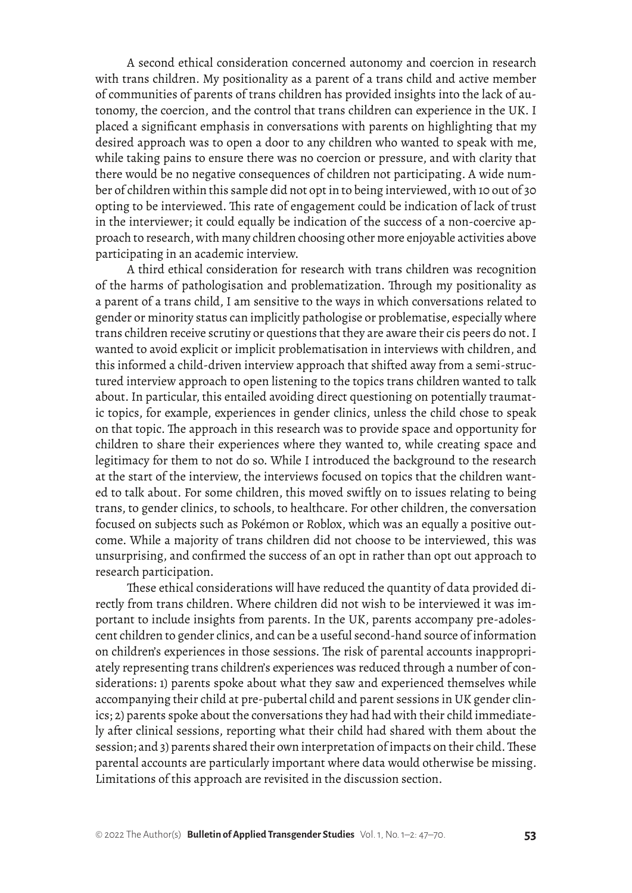A second ethical consideration concerned autonomy and coercion in research with trans children. My positionality as a parent of a trans child and active member of communities of parents of trans children has provided insights into the lack of autonomy, the coercion, and the control that trans children can experience in the UK. I placed a significant emphasis in conversations with parents on highlighting that my desired approach was to open a door to any children who wanted to speak with me, while taking pains to ensure there was no coercion or pressure, and with clarity that there would be no negative consequences of children not participating. A wide number of children within this sample did not opt in to being interviewed, with 10 out of 30 opting to be interviewed. This rate of engagement could be indication of lack of trust in the interviewer; it could equally be indication of the success of a non-coercive approach to research, with many children choosing other more enjoyable activities above participating in an academic interview.

A third ethical consideration for research with trans children was recognition of the harms of pathologisation and problematization. Through my positionality as a parent of a trans child, I am sensitive to the ways in which conversations related to gender or minority status can implicitly pathologise or problematise, especially where trans children receive scrutiny or questions that they are aware their cis peers do not. I wanted to avoid explicit or implicit problematisation in interviews with children, and this informed a child-driven interview approach that shifted away from a semi-structured interview approach to open listening to the topics trans children wanted to talk about. In particular, this entailed avoiding direct questioning on potentially traumatic topics, for example, experiences in gender clinics, unless the child chose to speak on that topic. The approach in this research was to provide space and opportunity for children to share their experiences where they wanted to, while creating space and legitimacy for them to not do so. While I introduced the background to the research at the start of the interview, the interviews focused on topics that the children wanted to talk about. For some children, this moved swiftly on to issues relating to being trans, to gender clinics, to schools, to healthcare. For other children, the conversation focused on subjects such as Pokémon or Roblox, which was an equally a positive outcome. While a majority of trans children did not choose to be interviewed, this was unsurprising, and confirmed the success of an opt in rather than opt out approach to research participation.

These ethical considerations will have reduced the quantity of data provided directly from trans children. Where children did not wish to be interviewed it was important to include insights from parents. In the UK, parents accompany pre-adolescent children to gender clinics, and can be a useful second-hand source of information on children's experiences in those sessions. The risk of parental accounts inappropriately representing trans children's experiences was reduced through a number of considerations: 1) parents spoke about what they saw and experienced themselves while accompanying their child at pre-pubertal child and parent sessions in UK gender clinics; 2) parents spoke about the conversations they had had with their child immediately after clinical sessions, reporting what their child had shared with them about the session; and 3) parents shared their own interpretation of impacts on their child. These parental accounts are particularly important where data would otherwise be missing. Limitations of this approach are revisited in the discussion section.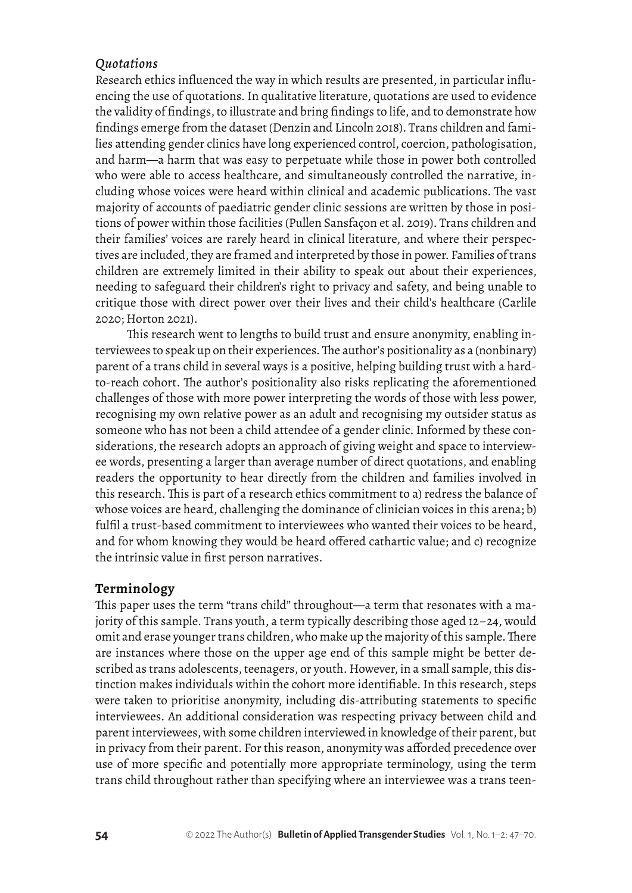### *Quotations*

Research ethics influenced the way in which results are presented, in particular influencing the use of quotations. In qualitative literature, quotations are used to evidence the validity of findings, to illustrate and bring findings to life, and to demonstrate how findings emerge from the dataset (Denzin and Lincoln 2018). Trans children and families attending gender clinics have long experienced control, coercion, pathologisation, and harm—a harm that was easy to perpetuate while those in power both controlled who were able to access healthcare, and simultaneously controlled the narrative, including whose voices were heard within clinical and academic publications. The vast majority of accounts of paediatric gender clinic sessions are written by those in positions of power within those facilities (Pullen Sansfaçon et al. 2019). Trans children and their families' voices are rarely heard in clinical literature, and where their perspectives are included, they are framed and interpreted by those in power. Families of trans children are extremely limited in their ability to speak out about their experiences, needing to safeguard their children's right to privacy and safety, and being unable to critique those with direct power over their lives and their child's healthcare (Carlile 2020; Horton 2021).

This research went to lengths to build trust and ensure anonymity, enabling interviewees to speak up on their experiences. The author's positionality as a (nonbinary) parent of a trans child in several ways is a positive, helping building trust with a hardto-reach cohort. The author's positionality also risks replicating the aforementioned challenges of those with more power interpreting the words of those with less power, recognising my own relative power as an adult and recognising my outsider status as someone who has not been a child attendee of a gender clinic. Informed by these considerations, the research adopts an approach of giving weight and space to interviewee words, presenting a larger than average number of direct quotations, and enabling readers the opportunity to hear directly from the children and families involved in this research. This is part of a research ethics commitment to a) redress the balance of whose voices are heard, challenging the dominance of clinician voices in this arena; b) fulfil a trust-based commitment to interviewees who wanted their voices to be heard, and for whom knowing they would be heard offered cathartic value; and c) recognize the intrinsic value in first person narratives.

## **Terminology**

This paper uses the term "trans child" throughout—a term that resonates with a majority of this sample. Trans youth, a term typically describing those aged 12–24, would omit and erase younger trans children, who make up the majority of this sample. There are instances where those on the upper age end of this sample might be better described as trans adolescents, teenagers, or youth. However, in a small sample, this distinction makes individuals within the cohort more identifiable. In this research, steps were taken to prioritise anonymity, including dis-attributing statements to specific interviewees. An additional consideration was respecting privacy between child and parent interviewees, with some children interviewed in knowledge of their parent, but in privacy from their parent. For this reason, anonymity was afforded precedence over use of more specific and potentially more appropriate terminology, using the term trans child throughout rather than specifying where an interviewee was a trans teen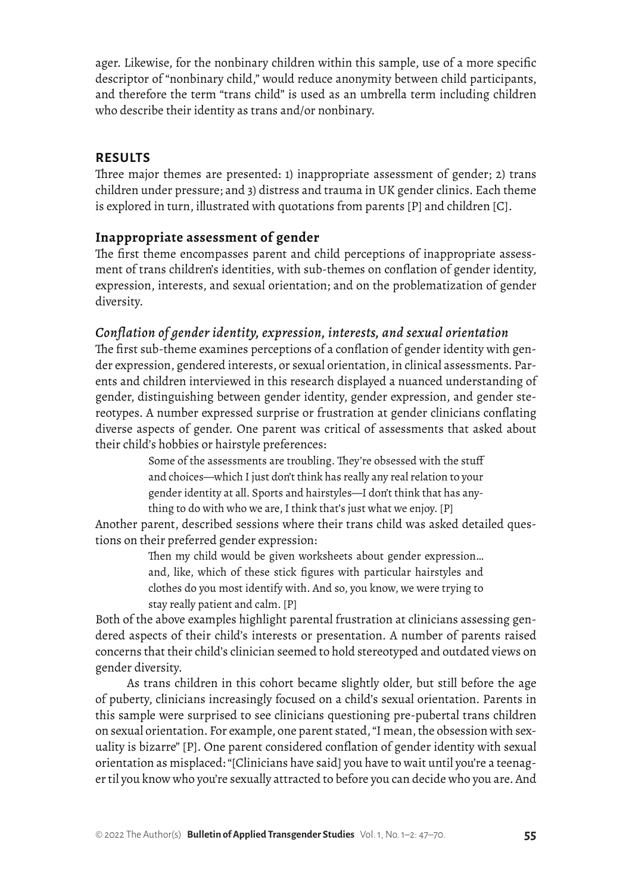ager. Likewise, for the nonbinary children within this sample, use of a more specific descriptor of "nonbinary child," would reduce anonymity between child participants, and therefore the term "trans child" is used as an umbrella term including children who describe their identity as trans and/or nonbinary.

## **RESULTS**

Three major themes are presented: 1) inappropriate assessment of gender; 2) trans children under pressure; and 3) distress and trauma in UK gender clinics. Each theme is explored in turn, illustrated with quotations from parents [P] and children [C].

## **Inappropriate assessment of gender**

The first theme encompasses parent and child perceptions of inappropriate assessment of trans children's identities, with sub-themes on conflation of gender identity, expression, interests, and sexual orientation; and on the problematization of gender diversity.

## *Conflation of gender identity, expression, interests, and sexual orientation*

The first sub-theme examines perceptions of a conflation of gender identity with gender expression, gendered interests, or sexual orientation, in clinical assessments. Parents and children interviewed in this research displayed a nuanced understanding of gender, distinguishing between gender identity, gender expression, and gender stereotypes. A number expressed surprise or frustration at gender clinicians conflating diverse aspects of gender. One parent was critical of assessments that asked about their child's hobbies or hairstyle preferences:

> Some of the assessments are troubling. They're obsessed with the stuff and choices—which I just don't think has really any real relation to your gender identity at all. Sports and hairstyles—I don't think that has anything to do with who we are, I think that's just what we enjoy. [P]

Another parent, described sessions where their trans child was asked detailed questions on their preferred gender expression:

> Then my child would be given worksheets about gender expression… and, like, which of these stick figures with particular hairstyles and clothes do you most identify with. And so, you know, we were trying to stay really patient and calm. [P]

Both of the above examples highlight parental frustration at clinicians assessing gendered aspects of their child's interests or presentation. A number of parents raised concerns that their child's clinician seemed to hold stereotyped and outdated views on gender diversity.

As trans children in this cohort became slightly older, but still before the age of puberty, clinicians increasingly focused on a child's sexual orientation. Parents in this sample were surprised to see clinicians questioning pre-pubertal trans children on sexual orientation. For example, one parent stated, "I mean, the obsession with sexuality is bizarre" [P]. One parent considered conflation of gender identity with sexual orientation as misplaced: "[Clinicians have said] you have to wait until you're a teenager til you know who you're sexually attracted to before you can decide who you are. And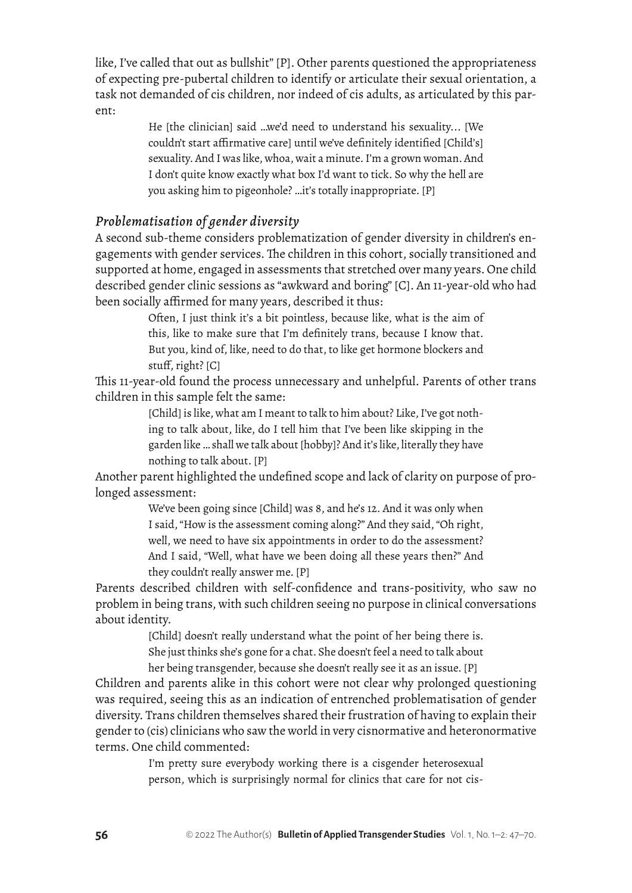like, I've called that out as bullshit" [P]. Other parents questioned the appropriateness of expecting pre-pubertal children to identify or articulate their sexual orientation, a task not demanded of cis children, nor indeed of cis adults, as articulated by this parent:

> He [the clinician] said …we'd need to understand his sexuality... [We couldn't start affirmative care] until we've definitely identified [Child's] sexuality. And I was like, whoa, wait a minute. I'm a grown woman. And I don't quite know exactly what box I'd want to tick. So why the hell are you asking him to pigeonhole? …it's totally inappropriate. [P]

## *Problematisation of gender diversity*

A second sub-theme considers problematization of gender diversity in children's engagements with gender services. The children in this cohort, socially transitioned and supported at home, engaged in assessments that stretched over many years. One child described gender clinic sessions as "awkward and boring" [C]. An 11-year-old who had been socially affirmed for many years, described it thus:

> Often, I just think it's a bit pointless, because like, what is the aim of this, like to make sure that I'm definitely trans, because I know that. But you, kind of, like, need to do that, to like get hormone blockers and stuff, right? [C]

This 11-year-old found the process unnecessary and unhelpful. Parents of other trans children in this sample felt the same:

> [Child] is like, what am I meant to talk to him about? Like, I've got nothing to talk about, like, do I tell him that I've been like skipping in the garden like … shall we talk about [hobby]? And it's like, literally they have nothing to talk about. [P]

Another parent highlighted the undefined scope and lack of clarity on purpose of prolonged assessment:

> We've been going since [Child] was 8, and he's 12. And it was only when I said, "How is the assessment coming along?" And they said, "Oh right, well, we need to have six appointments in order to do the assessment? And I said, "Well, what have we been doing all these years then?" And they couldn't really answer me. [P]

Parents described children with self-confidence and trans-positivity, who saw no problem in being trans, with such children seeing no purpose in clinical conversations about identity.

[Child] doesn't really understand what the point of her being there is. She just thinks she's gone for a chat. She doesn't feel a need to talk about her being transgender, because she doesn't really see it as an issue. [P]

Children and parents alike in this cohort were not clear why prolonged questioning was required, seeing this as an indication of entrenched problematisation of gender diversity. Trans children themselves shared their frustration of having to explain their gender to (cis) clinicians who saw the world in very cisnormative and heteronormative terms. One child commented:

> I'm pretty sure everybody working there is a cisgender heterosexual person, which is surprisingly normal for clinics that care for not cis-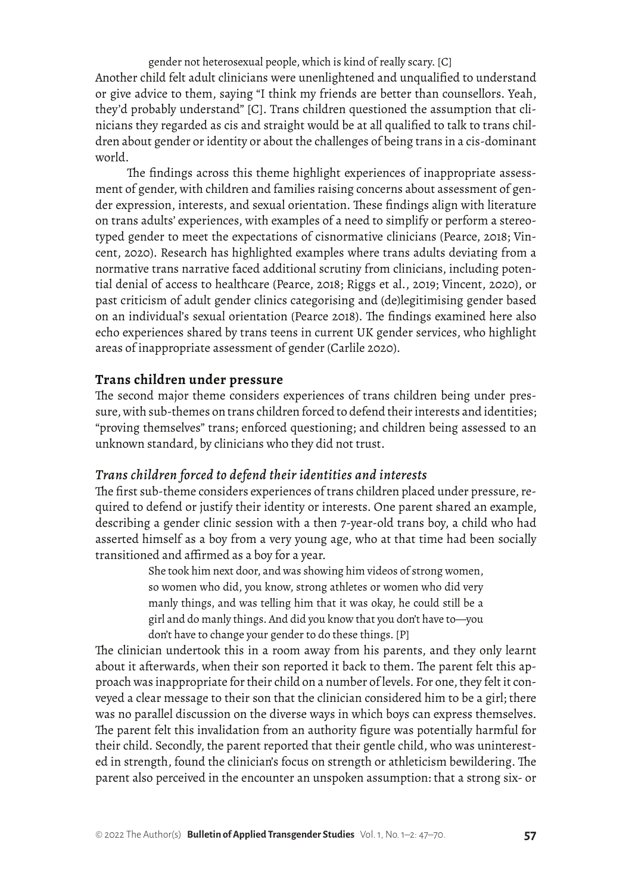gender not heterosexual people, which is kind of really scary. [C] Another child felt adult clinicians were unenlightened and unqualified to understand or give advice to them, saying "I think my friends are better than counsellors. Yeah, they'd probably understand" [C]. Trans children questioned the assumption that clinicians they regarded as cis and straight would be at all qualified to talk to trans children about gender or identity or about the challenges of being trans in a cis-dominant world.

The findings across this theme highlight experiences of inappropriate assessment of gender, with children and families raising concerns about assessment of gender expression, interests, and sexual orientation. These findings align with literature on trans adults' experiences, with examples of a need to simplify or perform a stereotyped gender to meet the expectations of cisnormative clinicians (Pearce, 2018; Vincent, 2020). Research has highlighted examples where trans adults deviating from a normative trans narrative faced additional scrutiny from clinicians, including potential denial of access to healthcare (Pearce, 2018; Riggs et al., 2019; Vincent, 2020), or past criticism of adult gender clinics categorising and (de)legitimising gender based on an individual's sexual orientation (Pearce 2018). The findings examined here also echo experiences shared by trans teens in current UK gender services, who highlight areas of inappropriate assessment of gender (Carlile 2020).

#### **Trans children under pressure**

The second major theme considers experiences of trans children being under pressure, with sub-themes on trans children forced to defend their interests and identities; "proving themselves" trans; enforced questioning; and children being assessed to an unknown standard, by clinicians who they did not trust.

#### *Trans children forced to defend their identities and interests*

The first sub-theme considers experiences of trans children placed under pressure, required to defend or justify their identity or interests. One parent shared an example, describing a gender clinic session with a then 7-year-old trans boy, a child who had asserted himself as a boy from a very young age, who at that time had been socially transitioned and affirmed as a boy for a year.

> She took him next door, and was showing him videos of strong women, so women who did, you know, strong athletes or women who did very manly things, and was telling him that it was okay, he could still be a girl and do manly things. And did you know that you don't have to—you don't have to change your gender to do these things. [P]

The clinician undertook this in a room away from his parents, and they only learnt about it afterwards, when their son reported it back to them. The parent felt this approach was inappropriate for their child on a number of levels. For one, they felt it conveyed a clear message to their son that the clinician considered him to be a girl; there was no parallel discussion on the diverse ways in which boys can express themselves. The parent felt this invalidation from an authority figure was potentially harmful for their child. Secondly, the parent reported that their gentle child, who was uninterested in strength, found the clinician's focus on strength or athleticism bewildering. The parent also perceived in the encounter an unspoken assumption: that a strong six- or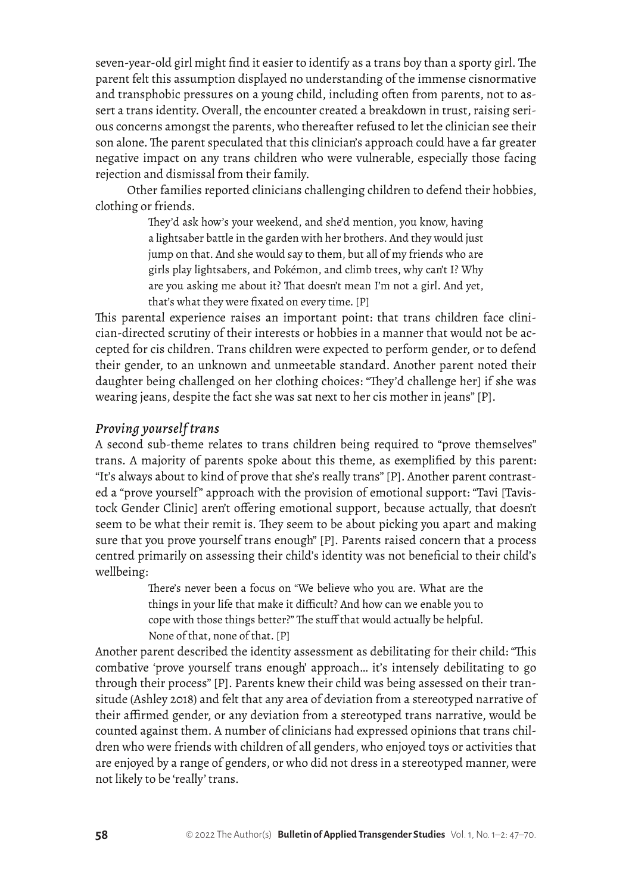seven-year-old girl might find it easier to identify as a trans boy than a sporty girl. The parent felt this assumption displayed no understanding of the immense cisnormative and transphobic pressures on a young child, including often from parents, not to assert a trans identity. Overall, the encounter created a breakdown in trust, raising serious concerns amongst the parents, who thereafter refused to let the clinician see their son alone. The parent speculated that this clinician's approach could have a far greater negative impact on any trans children who were vulnerable, especially those facing rejection and dismissal from their family.

Other families reported clinicians challenging children to defend their hobbies, clothing or friends.

> They'd ask how's your weekend, and she'd mention, you know, having a lightsaber battle in the garden with her brothers. And they would just jump on that. And she would say to them, but all of my friends who are girls play lightsabers, and Pokémon, and climb trees, why can't I? Why are you asking me about it? That doesn't mean I'm not a girl. And yet, that's what they were fixated on every time. [P]

This parental experience raises an important point: that trans children face clinician-directed scrutiny of their interests or hobbies in a manner that would not be accepted for cis children. Trans children were expected to perform gender, or to defend their gender, to an unknown and unmeetable standard. Another parent noted their daughter being challenged on her clothing choices: "They'd challenge her] if she was wearing jeans, despite the fact she was sat next to her cis mother in jeans" [P].

### *Proving yourself trans*

A second sub-theme relates to trans children being required to "prove themselves" trans. A majority of parents spoke about this theme, as exemplified by this parent: "It's always about to kind of prove that she's really trans" [P]. Another parent contrasted a "prove yourself" approach with the provision of emotional support: "Tavi [Tavistock Gender Clinic] aren't offering emotional support, because actually, that doesn't seem to be what their remit is. They seem to be about picking you apart and making sure that you prove yourself trans enough" [P]. Parents raised concern that a process centred primarily on assessing their child's identity was not beneficial to their child's wellbeing:

> There's never been a focus on "We believe who you are. What are the things in your life that make it difficult? And how can we enable you to cope with those things better?" The stuff that would actually be helpful. None of that, none of that. [P]

Another parent described the identity assessment as debilitating for their child: "This combative 'prove yourself trans enough' approach… it's intensely debilitating to go through their process" [P]. Parents knew their child was being assessed on their transitude (Ashley 2018) and felt that any area of deviation from a stereotyped narrative of their affirmed gender, or any deviation from a stereotyped trans narrative, would be counted against them. A number of clinicians had expressed opinions that trans children who were friends with children of all genders, who enjoyed toys or activities that are enjoyed by a range of genders, or who did not dress in a stereotyped manner, were not likely to be 'really' trans.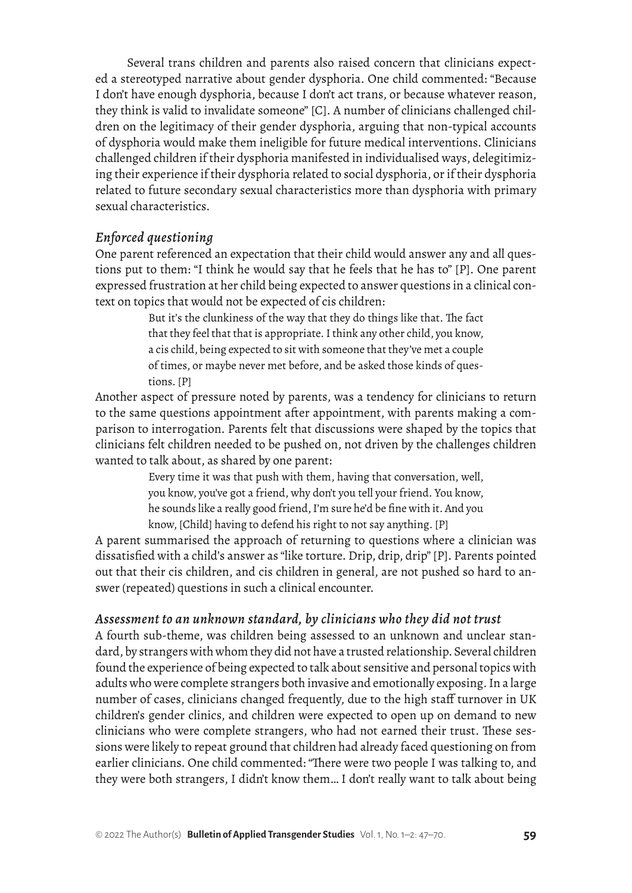Several trans children and parents also raised concern that clinicians expected a stereotyped narrative about gender dysphoria. One child commented: "Because I don't have enough dysphoria, because I don't act trans, or because whatever reason, they think is valid to invalidate someone" [C]. A number of clinicians challenged children on the legitimacy of their gender dysphoria, arguing that non-typical accounts of dysphoria would make them ineligible for future medical interventions. Clinicians challenged children if their dysphoria manifested in individualised ways, delegitimizing their experience if their dysphoria related to social dysphoria, or if their dysphoria related to future secondary sexual characteristics more than dysphoria with primary sexual characteristics.

## *Enforced questioning*

One parent referenced an expectation that their child would answer any and all questions put to them: "I think he would say that he feels that he has to" [P]. One parent expressed frustration at her child being expected to answer questions in a clinical context on topics that would not be expected of cis children:

> But it's the clunkiness of the way that they do things like that. The fact that they feel that that is appropriate. I think any other child, you know, a cis child, being expected to sit with someone that they've met a couple of times, or maybe never met before, and be asked those kinds of questions. [P]

Another aspect of pressure noted by parents, was a tendency for clinicians to return to the same questions appointment after appointment, with parents making a comparison to interrogation. Parents felt that discussions were shaped by the topics that clinicians felt children needed to be pushed on, not driven by the challenges children wanted to talk about, as shared by one parent:

> Every time it was that push with them, having that conversation, well, you know, you've got a friend, why don't you tell your friend. You know, he sounds like a really good friend, I'm sure he'd be fine with it. And you know, [Child] having to defend his right to not say anything. [P]

A parent summarised the approach of returning to questions where a clinician was dissatisfied with a child's answer as "like torture. Drip, drip, drip" [P]. Parents pointed out that their cis children, and cis children in general, are not pushed so hard to answer (repeated) questions in such a clinical encounter.

### *Assessment to an unknown standard, by clinicians who they did not trust*

A fourth sub-theme, was children being assessed to an unknown and unclear standard, by strangers with whom they did not have a trusted relationship. Several children found the experience of being expected to talk about sensitive and personal topics with adults who were complete strangers both invasive and emotionally exposing. In a large number of cases, clinicians changed frequently, due to the high staff turnover in UK children's gender clinics, and children were expected to open up on demand to new clinicians who were complete strangers, who had not earned their trust. These sessions were likely to repeat ground that children had already faced questioning on from earlier clinicians. One child commented: "There were two people I was talking to, and they were both strangers, I didn't know them… I don't really want to talk about being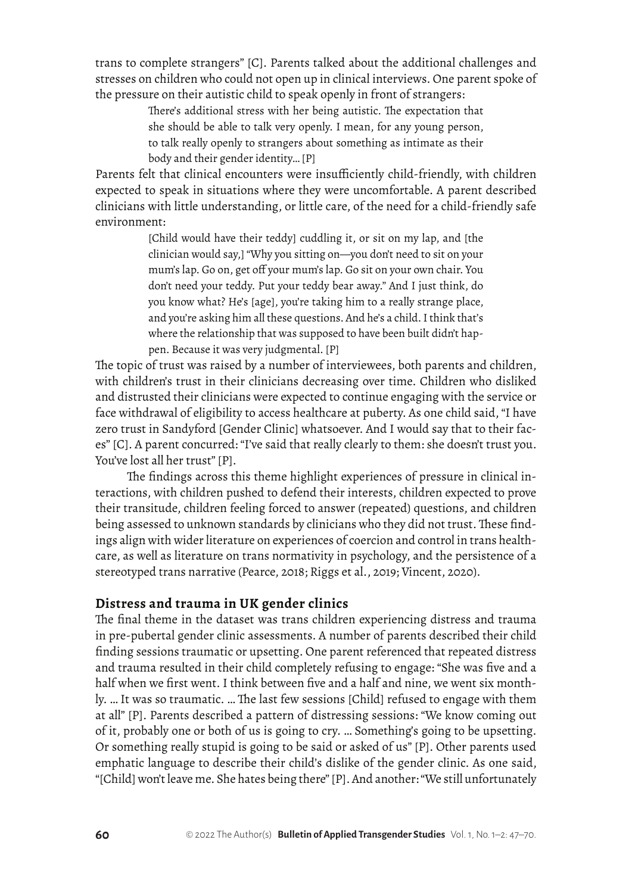trans to complete strangers" [C]. Parents talked about the additional challenges and stresses on children who could not open up in clinical interviews. One parent spoke of the pressure on their autistic child to speak openly in front of strangers:

> There's additional stress with her being autistic. The expectation that she should be able to talk very openly. I mean, for any young person, to talk really openly to strangers about something as intimate as their body and their gender identity… [P]

Parents felt that clinical encounters were insufficiently child-friendly, with children expected to speak in situations where they were uncomfortable. A parent described clinicians with little understanding, or little care, of the need for a child-friendly safe environment:

> [Child would have their teddy] cuddling it, or sit on my lap, and [the clinician would say,] "Why you sitting on—you don't need to sit on your mum's lap. Go on, get off your mum's lap. Go sit on your own chair. You don't need your teddy. Put your teddy bear away." And I just think, do you know what? He's [age], you're taking him to a really strange place, and you're asking him all these questions. And he's a child. I think that's where the relationship that was supposed to have been built didn't happen. Because it was very judgmental. [P]

The topic of trust was raised by a number of interviewees, both parents and children, with children's trust in their clinicians decreasing over time. Children who disliked and distrusted their clinicians were expected to continue engaging with the service or face withdrawal of eligibility to access healthcare at puberty. As one child said, "I have zero trust in Sandyford [Gender Clinic] whatsoever. And I would say that to their faces" [C]. A parent concurred: "I've said that really clearly to them: she doesn't trust you. You've lost all her trust" [P].

The findings across this theme highlight experiences of pressure in clinical interactions, with children pushed to defend their interests, children expected to prove their transitude, children feeling forced to answer (repeated) questions, and children being assessed to unknown standards by clinicians who they did not trust. These findings align with wider literature on experiences of coercion and control in trans healthcare, as well as literature on trans normativity in psychology, and the persistence of a stereotyped trans narrative (Pearce, 2018; Riggs et al., 2019; Vincent, 2020).

### **Distress and trauma in UK gender clinics**

The final theme in the dataset was trans children experiencing distress and trauma in pre-pubertal gender clinic assessments. A number of parents described their child finding sessions traumatic or upsetting. One parent referenced that repeated distress and trauma resulted in their child completely refusing to engage: "She was five and a half when we first went. I think between five and a half and nine, we went six monthly. … It was so traumatic. … The last few sessions [Child] refused to engage with them at all" [P]. Parents described a pattern of distressing sessions: "We know coming out of it, probably one or both of us is going to cry. … Something's going to be upsetting. Or something really stupid is going to be said or asked of us" [P]. Other parents used emphatic language to describe their child's dislike of the gender clinic. As one said, "[Child] won't leave me. She hates being there" [P]. And another: "We still unfortunately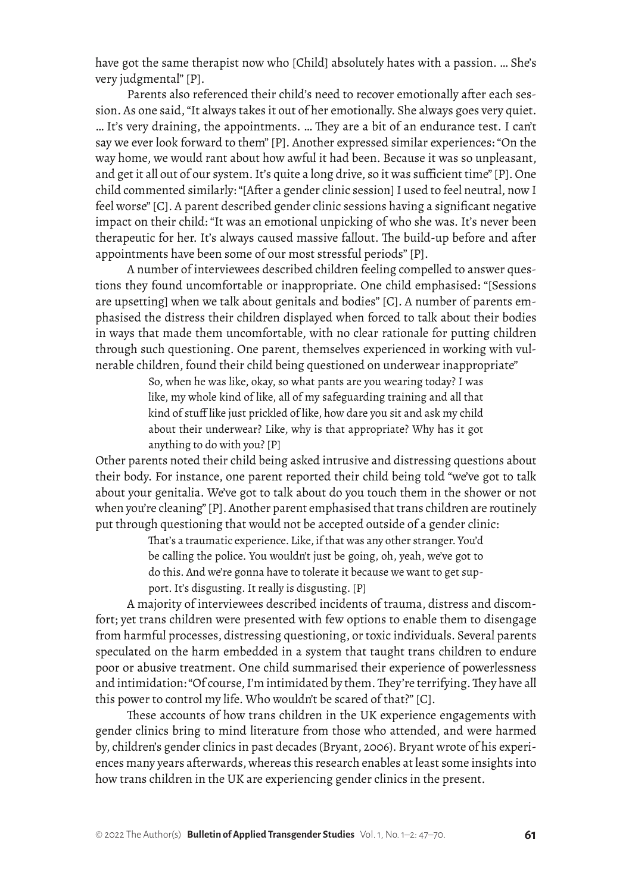have got the same therapist now who [Child] absolutely hates with a passion. … She's very judgmental" [P].

Parents also referenced their child's need to recover emotionally after each session. As one said, "It always takes it out of her emotionally. She always goes very quiet. … It's very draining, the appointments. … They are a bit of an endurance test. I can't say we ever look forward to them" [P]. Another expressed similar experiences: "On the way home, we would rant about how awful it had been. Because it was so unpleasant, and get it all out of our system. It's quite a long drive, so it was sufficient time" [P]. One child commented similarly: "[After a gender clinic session] I used to feel neutral, now I feel worse" [C]. A parent described gender clinic sessions having a significant negative impact on their child: "It was an emotional unpicking of who she was. It's never been therapeutic for her. It's always caused massive fallout. The build-up before and after appointments have been some of our most stressful periods" [P].

A number of interviewees described children feeling compelled to answer questions they found uncomfortable or inappropriate. One child emphasised: "[Sessions are upsetting] when we talk about genitals and bodies" [C]. A number of parents emphasised the distress their children displayed when forced to talk about their bodies in ways that made them uncomfortable, with no clear rationale for putting children through such questioning. One parent, themselves experienced in working with vulnerable children, found their child being questioned on underwear inappropriate"

> So, when he was like, okay, so what pants are you wearing today? I was like, my whole kind of like, all of my safeguarding training and all that kind of stuff like just prickled of like, how dare you sit and ask my child about their underwear? Like, why is that appropriate? Why has it got anything to do with you? [P]

Other parents noted their child being asked intrusive and distressing questions about their body. For instance, one parent reported their child being told "we've got to talk about your genitalia. We've got to talk about do you touch them in the shower or not when you're cleaning" [P]. Another parent emphasised that trans children are routinely put through questioning that would not be accepted outside of a gender clinic:

> That's a traumatic experience. Like, if that was any other stranger. You'd be calling the police. You wouldn't just be going, oh, yeah, we've got to do this. And we're gonna have to tolerate it because we want to get support. It's disgusting. It really is disgusting. [P]

A majority of interviewees described incidents of trauma, distress and discomfort; yet trans children were presented with few options to enable them to disengage from harmful processes, distressing questioning, or toxic individuals. Several parents speculated on the harm embedded in a system that taught trans children to endure poor or abusive treatment. One child summarised their experience of powerlessness and intimidation: "Of course, I'm intimidated by them. They're terrifying. They have all this power to control my life. Who wouldn't be scared of that?" [C].

These accounts of how trans children in the UK experience engagements with gender clinics bring to mind literature from those who attended, and were harmed by, children's gender clinics in past decades (Bryant, 2006). Bryant wrote of his experiences many years afterwards, whereas this research enables at least some insights into how trans children in the UK are experiencing gender clinics in the present.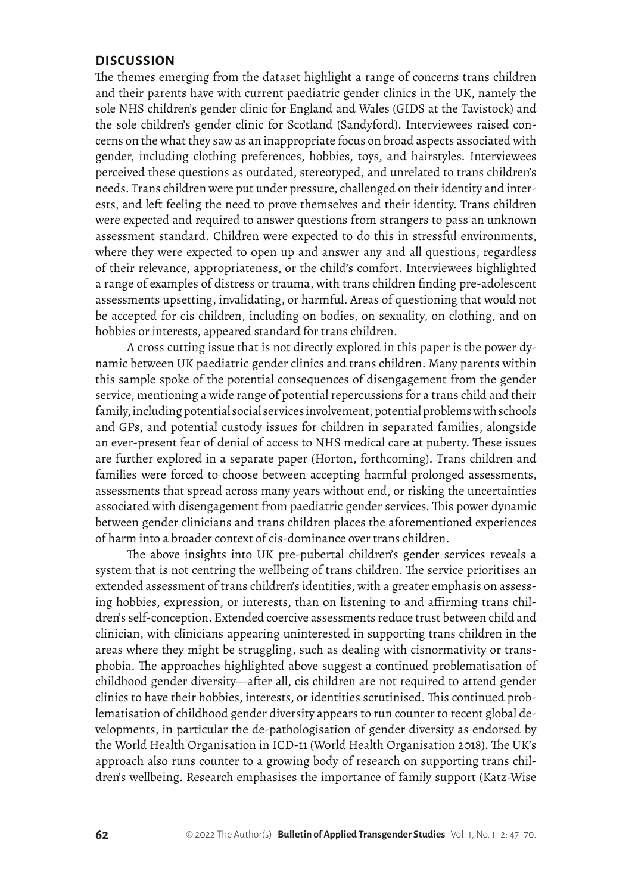#### **DISCUSSION**

The themes emerging from the dataset highlight a range of concerns trans children and their parents have with current paediatric gender clinics in the UK, namely the sole NHS children's gender clinic for England and Wales (GIDS at the Tavistock) and the sole children's gender clinic for Scotland (Sandyford). Interviewees raised concerns on the what they saw as an inappropriate focus on broad aspects associated with gender, including clothing preferences, hobbies, toys, and hairstyles. Interviewees perceived these questions as outdated, stereotyped, and unrelated to trans children's needs. Trans children were put under pressure, challenged on their identity and interests, and left feeling the need to prove themselves and their identity. Trans children were expected and required to answer questions from strangers to pass an unknown assessment standard. Children were expected to do this in stressful environments, where they were expected to open up and answer any and all questions, regardless of their relevance, appropriateness, or the child's comfort. Interviewees highlighted a range of examples of distress or trauma, with trans children finding pre-adolescent assessments upsetting, invalidating, or harmful. Areas of questioning that would not be accepted for cis children, including on bodies, on sexuality, on clothing, and on hobbies or interests, appeared standard for trans children.

A cross cutting issue that is not directly explored in this paper is the power dynamic between UK paediatric gender clinics and trans children. Many parents within this sample spoke of the potential consequences of disengagement from the gender service, mentioning a wide range of potential repercussions for a trans child and their family, including potential social services involvement, potential problems with schools and GPs, and potential custody issues for children in separated families, alongside an ever-present fear of denial of access to NHS medical care at puberty. These issues are further explored in a separate paper (Horton, forthcoming). Trans children and families were forced to choose between accepting harmful prolonged assessments, assessments that spread across many years without end, or risking the uncertainties associated with disengagement from paediatric gender services. This power dynamic between gender clinicians and trans children places the aforementioned experiences of harm into a broader context of cis-dominance over trans children.

The above insights into UK pre-pubertal children's gender services reveals a system that is not centring the wellbeing of trans children. The service prioritises an extended assessment of trans children's identities, with a greater emphasis on assessing hobbies, expression, or interests, than on listening to and affirming trans children's self-conception. Extended coercive assessments reduce trust between child and clinician, with clinicians appearing uninterested in supporting trans children in the areas where they might be struggling, such as dealing with cisnormativity or transphobia. The approaches highlighted above suggest a continued problematisation of childhood gender diversity—after all, cis children are not required to attend gender clinics to have their hobbies, interests, or identities scrutinised. This continued problematisation of childhood gender diversity appears to run counter to recent global developments, in particular the de-pathologisation of gender diversity as endorsed by the World Health Organisation in ICD-11 (World Health Organisation 2018). The UK's approach also runs counter to a growing body of research on supporting trans children's wellbeing. Research emphasises the importance of family support (Katz-Wise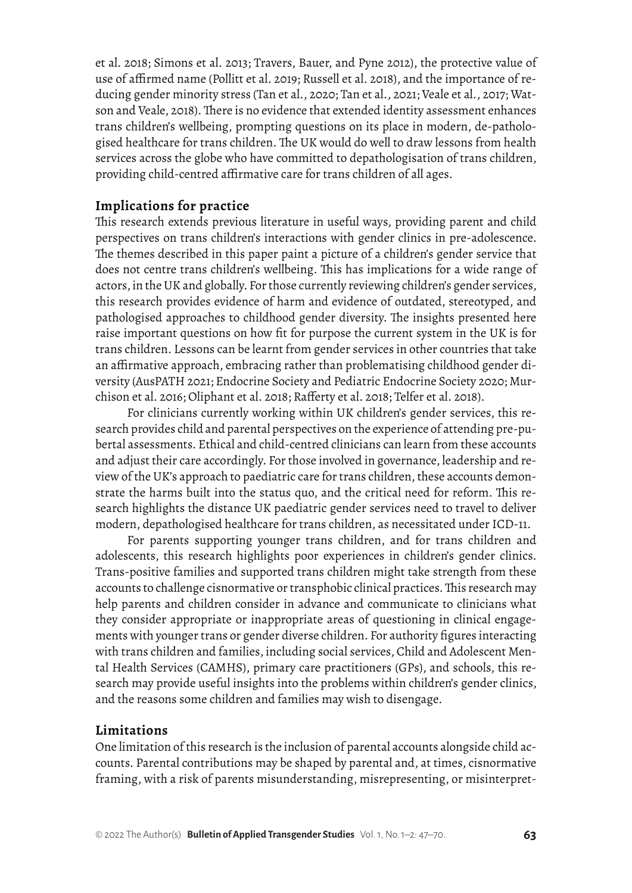et al. 2018; Simons et al. 2013; Travers, Bauer, and Pyne 2012), the protective value of use of affirmed name (Pollitt et al. 2019; Russell et al. 2018), and the importance of reducing gender minority stress (Tan et al., 2020; Tan et al., 2021; Veale et al., 2017; Watson and Veale, 2018). There is no evidence that extended identity assessment enhances trans children's wellbeing, prompting questions on its place in modern, de-pathologised healthcare for trans children. The UK would do well to draw lessons from health services across the globe who have committed to depathologisation of trans children, providing child-centred affirmative care for trans children of all ages.

#### **Implications for practice**

This research extends previous literature in useful ways, providing parent and child perspectives on trans children's interactions with gender clinics in pre-adolescence. The themes described in this paper paint a picture of a children's gender service that does not centre trans children's wellbeing. This has implications for a wide range of actors, in the UK and globally. For those currently reviewing children's gender services, this research provides evidence of harm and evidence of outdated, stereotyped, and pathologised approaches to childhood gender diversity. The insights presented here raise important questions on how fit for purpose the current system in the UK is for trans children. Lessons can be learnt from gender services in other countries that take an affirmative approach, embracing rather than problematising childhood gender diversity (AusPATH 2021; Endocrine Society and Pediatric Endocrine Society 2020; Murchison et al. 2016; Oliphant et al. 2018; Rafferty et al. 2018; Telfer et al. 2018).

For clinicians currently working within UK children's gender services, this research provides child and parental perspectives on the experience of attending pre-pubertal assessments. Ethical and child-centred clinicians can learn from these accounts and adjust their care accordingly. For those involved in governance, leadership and review of the UK's approach to paediatric care for trans children, these accounts demonstrate the harms built into the status quo, and the critical need for reform. This research highlights the distance UK paediatric gender services need to travel to deliver modern, depathologised healthcare for trans children, as necessitated under ICD-11.

For parents supporting younger trans children, and for trans children and adolescents, this research highlights poor experiences in children's gender clinics. Trans-positive families and supported trans children might take strength from these accounts to challenge cisnormative or transphobic clinical practices. This research may help parents and children consider in advance and communicate to clinicians what they consider appropriate or inappropriate areas of questioning in clinical engagements with younger trans or gender diverse children. For authority figures interacting with trans children and families, including social services, Child and Adolescent Mental Health Services (CAMHS), primary care practitioners (GPs), and schools, this research may provide useful insights into the problems within children's gender clinics, and the reasons some children and families may wish to disengage.

#### **Limitations**

One limitation of this research is the inclusion of parental accounts alongside child accounts. Parental contributions may be shaped by parental and, at times, cisnormative framing, with a risk of parents misunderstanding, misrepresenting, or misinterpret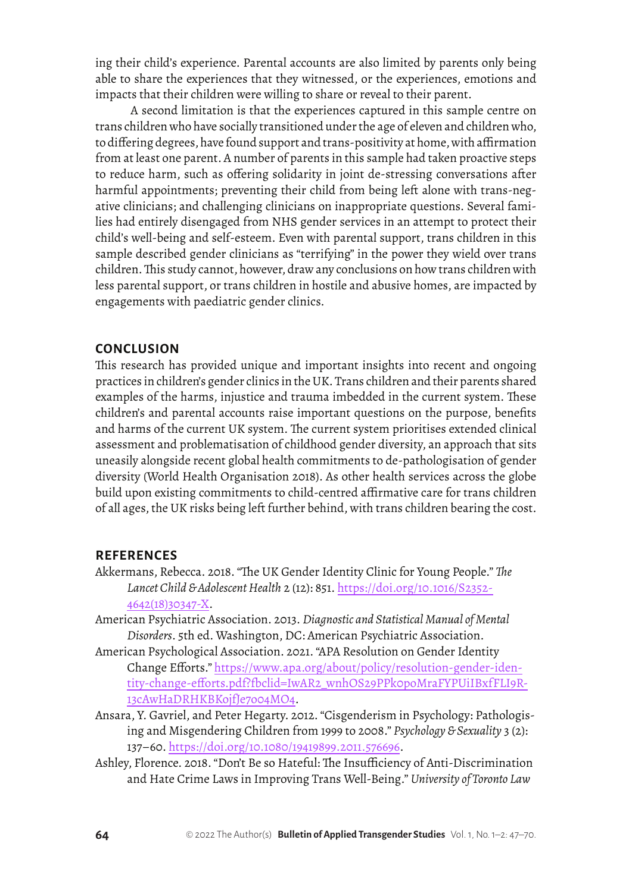ing their child's experience. Parental accounts are also limited by parents only being able to share the experiences that they witnessed, or the experiences, emotions and impacts that their children were willing to share or reveal to their parent.

 A second limitation is that the experiences captured in this sample centre on trans children who have socially transitioned under the age of eleven and children who, to differing degrees, have found support and trans-positivity at home, with affirmation from at least one parent. A number of parents in this sample had taken proactive steps to reduce harm, such as offering solidarity in joint de-stressing conversations after harmful appointments; preventing their child from being left alone with trans-negative clinicians; and challenging clinicians on inappropriate questions. Several families had entirely disengaged from NHS gender services in an attempt to protect their child's well-being and self-esteem. Even with parental support, trans children in this sample described gender clinicians as "terrifying" in the power they wield over trans children. This study cannot, however, draw any conclusions on how trans children with less parental support, or trans children in hostile and abusive homes, are impacted by engagements with paediatric gender clinics.

#### **CONCLUSION**

This research has provided unique and important insights into recent and ongoing practices in children's gender clinics in the UK. Trans children and their parents shared examples of the harms, injustice and trauma imbedded in the current system. These children's and parental accounts raise important questions on the purpose, benefits and harms of the current UK system. The current system prioritises extended clinical assessment and problematisation of childhood gender diversity, an approach that sits uneasily alongside recent global health commitments to de-pathologisation of gender diversity (World Health Organisation 2018). As other health services across the globe build upon existing commitments to child-centred affirmative care for trans children of all ages, the UK risks being left further behind, with trans children bearing the cost.

#### **REFERENCES**

- Akkermans, Rebecca. 2018. "The UK Gender Identity Clinic for Young People." *The Lancet Child & Adolescent Health* 2 (12): 851. [https://doi.org/10.1016/S2352-](https://doi.org/10.1016/S2352-4642(18)30347-X) [4642\(18\)30347-X](https://doi.org/10.1016/S2352-4642(18)30347-X).
- American Psychiatric Association. 2013. *Diagnostic and Statistical Manual of Mental Disorders*. 5th ed. Washington, DC: American Psychiatric Association.
- American Psychological Association. 2021. "APA Resolution on Gender Identity Change Efforts." [https://www.apa.org/about/policy/resolution-gender-iden](https://www.apa.org/about/policy/resolution-gender-identity-change-efforts.pdf?fbclid=IwAR2_wnhOS29PPk0poMraFYPUiIBxfFLI9R13cAwHaDRHKBKojfJe7o04MO4)[tity-change-efforts.pdf?fbclid=IwAR2\\_wnhOS29PPk0poMraFYPUiIBxfFLI9R](https://www.apa.org/about/policy/resolution-gender-identity-change-efforts.pdf?fbclid=IwAR2_wnhOS29PPk0poMraFYPUiIBxfFLI9R13cAwHaDRHKBKojfJe7o04MO4)-[13cAwHaDRHKBKojfJe7o04MO4](https://www.apa.org/about/policy/resolution-gender-identity-change-efforts.pdf?fbclid=IwAR2_wnhOS29PPk0poMraFYPUiIBxfFLI9R13cAwHaDRHKBKojfJe7o04MO4).
- Ansara, Y. Gavriel, and Peter Hegarty. 2012. "Cisgenderism in Psychology: Pathologising and Misgendering Children from 1999 to 2008." *Psychology & Sexuality* 3 (2): 137–60. [https://doi.org/10.1080/19419899.2011.576696.](https://doi.org/10.1080/19419899.2011.576696)
- Ashley, Florence. 2018. "Don't Be so Hateful: The Insufficiency of Anti-Discrimination and Hate Crime Laws in Improving Trans Well-Being." *University of Toronto Law*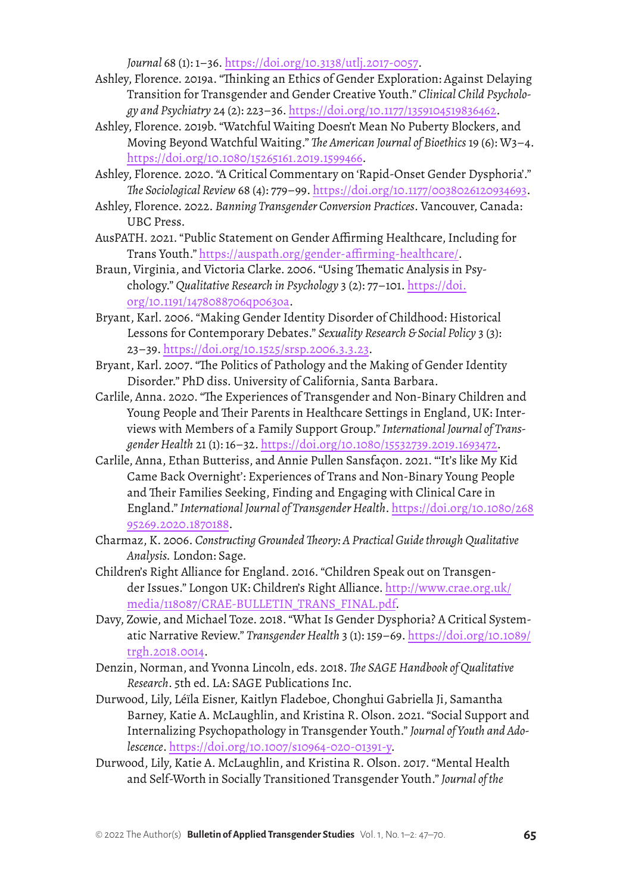*Journal* 68 (1): 1–36. <https://doi.org/10.3138/utlj.2017-0057>.

- Ashley, Florence. 2019a. "Thinking an Ethics of Gender Exploration: Against Delaying Transition for Transgender and Gender Creative Youth." *Clinical Child Psychology and Psychiatry* 24 (2): 223–36. [https://doi.org/10.1177/1359104519836462.](https://doi.org/10.1177/1359104519836462)
- Ashley, Florence. 2019b. "Watchful Waiting Doesn't Mean No Puberty Blockers, and Moving Beyond Watchful Waiting." *The American Journal of Bioethics* 19 (6): W3–4. [https://doi.org/10.1080/15265161.2019.1599466.](https://doi.org/10.1080/15265161.2019.1599466)
- Ashley, Florence. 2020. "A Critical Commentary on 'Rapid-Onset Gender Dysphoria'." *The Sociological Review* 68 (4): 779–99. <https://doi.org/10.1177/0038026120934693>.
- Ashley, Florence. 2022. *Banning Transgender Conversion Practices*. Vancouver, Canada: UBC Press.
- AusPATH. 2021. "Public Statement on Gender Affirming Healthcare, Including for Trans Youth." <https://auspath.org/gender-affirming-healthcare/>.
- Braun, Virginia, and Victoria Clarke. 2006. "Using Thematic Analysis in Psychology." *Qualitative Research in Psychology* 3 (2): 77–101. [https://doi.](https://doi.org/10.1191/1478088706qp063oa) [org/10.1191/1478088706qp063oa.](https://doi.org/10.1191/1478088706qp063oa)
- Bryant, Karl. 2006. "Making Gender Identity Disorder of Childhood: Historical Lessons for Contemporary Debates." *Sexuality Research & Social Policy* 3 (3): 23–39.<https://doi.org/10.1525/srsp.2006.3.3.23>.
- Bryant, Karl. 2007. "The Politics of Pathology and the Making of Gender Identity Disorder." PhD diss. University of California, Santa Barbara.
- Carlile, Anna. 2020. "The Experiences of Transgender and Non-Binary Children and Young People and Their Parents in Healthcare Settings in England, UK: Interviews with Members of a Family Support Group." *International Journal of Transgender Health* 21 (1): 16–32. <https://doi.org/10.1080/15532739.2019.1693472>.
- Carlile, Anna, Ethan Butteriss, and Annie Pullen Sansfaçon. 2021. "'It's like My Kid Came Back Overnight': Experiences of Trans and Non-Binary Young People and Their Families Seeking, Finding and Engaging with Clinical Care in England." *International Journal of Transgender Health*. [https://doi.org/10.1080/268](https://doi.org/10.1080/26895269.2020.1870188) [95269.2020.1870188.](https://doi.org/10.1080/26895269.2020.1870188)
- Charmaz, K. 2006. *Constructing Grounded Theory: A Practical Guide through Qualitative Analysis.* London: Sage.
- Children's Right Alliance for England. 2016. "Children Speak out on Transgender Issues." Longon UK: Children's Right Alliance. [http://www.crae.org.uk/](http://www.crae.org.uk/media/118087/CRAE-BULLETIN_TRANS_FINAL.pdf) [media/118087/CRAE-BULLETIN\\_TRANS\\_FINAL.pdf](http://www.crae.org.uk/media/118087/CRAE-BULLETIN_TRANS_FINAL.pdf).
- Davy, Zowie, and Michael Toze. 2018. "What Is Gender Dysphoria? A Critical Systematic Narrative Review." *Transgender Health* 3 (1): 159–69. [https://doi.org/10.1089/](https://doi.org/10.1089/trgh.2018.0014) [trgh.2018.0014](https://doi.org/10.1089/trgh.2018.0014).
- Denzin, Norman, and Yvonna Lincoln, eds. 2018. *The SAGE Handbook of Qualitative Research*. 5th ed. LA: SAGE Publications Inc.
- Durwood, Lily, Léïla Eisner, Kaitlyn Fladeboe, Chonghui Gabriella Ji, Samantha Barney, Katie A. McLaughlin, and Kristina R. Olson. 2021. "Social Support and Internalizing Psychopathology in Transgender Youth." *Journal of Youth and Adolescence*. [https://doi.org/10.1007/s10964-020-01391-y.](https://doi.org/10.1007/s10964-020-01391-y)
- Durwood, Lily, Katie A. McLaughlin, and Kristina R. Olson. 2017. "Mental Health and Self-Worth in Socially Transitioned Transgender Youth." *Journal of the*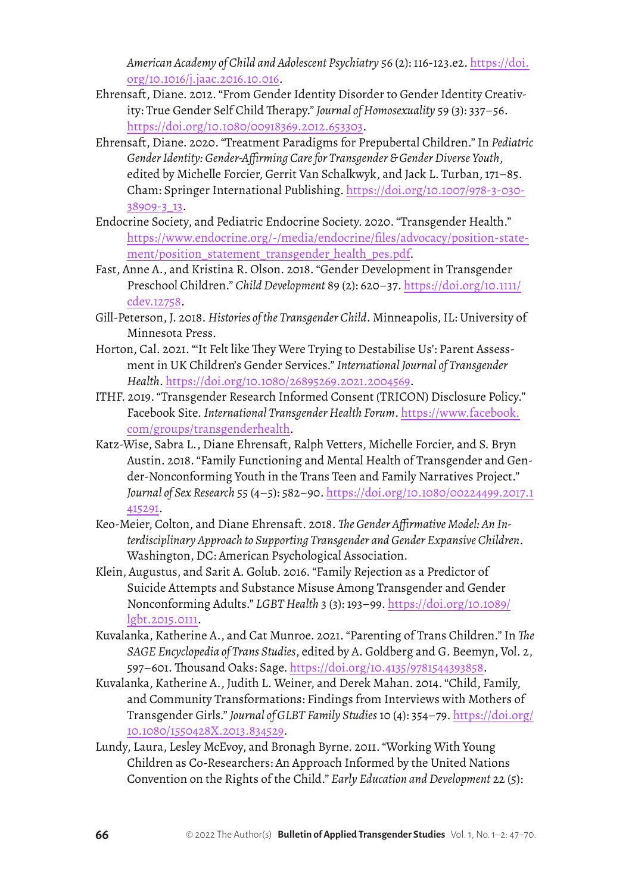*American Academy of Child and Adolescent Psychiatry* 56 (2): 116-123.e2. [https://doi.](https://doi.org/10.1016/j.jaac.2016.10.016) [org/10.1016/j.jaac.2016.10.016.](https://doi.org/10.1016/j.jaac.2016.10.016)

- Ehrensaft, Diane. 2012. "From Gender Identity Disorder to Gender Identity Creativity: True Gender Self Child Therapy." *Journal of Homosexuality* 59 (3): 337–56. [https://doi.org/10.1080/00918369.2012.653303.](https://doi.org/10.1080/00918369.2012.653303)
- Ehrensaft, Diane. 2020. "Treatment Paradigms for Prepubertal Children." In *Pediatric Gender Identity: Gender-Affirming Care for Transgender & Gender Diverse Youth*, edited by Michelle Forcier, Gerrit Van Schalkwyk, and Jack L. Turban, 171–85. Cham: Springer International Publishing. [https://doi.org/10.1007/978-3-030-](https://doi.org/10.1007/978-3-030-38909-3_13) [38909-3\\_13](https://doi.org/10.1007/978-3-030-38909-3_13).
- Endocrine Society, and Pediatric Endocrine Society. 2020. "Transgender Health." [https://www.endocrine.org/-/media/endocrine/files/advocacy/position-state](https://www.endocrine.org/-/media/endocrine/files/advocacy/position-statement/position_statement_transgender_health_pes.pdf)[ment/position\\_statement\\_transgender\\_health\\_pes.pdf](https://www.endocrine.org/-/media/endocrine/files/advocacy/position-statement/position_statement_transgender_health_pes.pdf).
- Fast, Anne A., and Kristina R. Olson. 2018. "Gender Development in Transgender Preschool Children." *Child Development* 89 (2): 620–37. [https://doi.org/10.1111/](https://doi.org/10.1111/cdev.12758) [cdev.12758.](https://doi.org/10.1111/cdev.12758)
- Gill-Peterson, J. 2018. *Histories of the Transgender Child*. Minneapolis, IL: University of Minnesota Press.
- Horton, Cal. 2021. "'It Felt like They Were Trying to Destabilise Us': Parent Assessment in UK Children's Gender Services." *International Journal of Transgender Health*.<https://doi.org/10.1080/26895269.2021.2004569>.
- ITHF. 2019. "Transgender Research Informed Consent (TRICON) Disclosure Policy." Facebook Site. *International Transgender Health Forum*. [https://www.facebook.](https://www.facebook.com/groups/transgenderhealth) [com/groups/transgenderhealth](https://www.facebook.com/groups/transgenderhealth).
- Katz-Wise, Sabra L., Diane Ehrensaft, Ralph Vetters, Michelle Forcier, and S. Bryn Austin. 2018. "Family Functioning and Mental Health of Transgender and Gender-Nonconforming Youth in the Trans Teen and Family Narratives Project." *Journal of Sex Research* 55 (4–5): 582–90. [https://doi.org/10.1080/00224499.2017.1](https://doi.org/10.1080/00224499.2017.1415291) [415291.](https://doi.org/10.1080/00224499.2017.1415291)
- Keo-Meier, Colton, and Diane Ehrensaft. 2018. *The Gender Affirmative Model: An Interdisciplinary Approach to Supporting Transgender and Gender Expansive Children*. Washington, DC: American Psychological Association.
- Klein, Augustus, and Sarit A. Golub. 2016. "Family Rejection as a Predictor of Suicide Attempts and Substance Misuse Among Transgender and Gender Nonconforming Adults." *LGBT Health* 3 (3): 193–99. [https://doi.org/10.1089/](https://doi.org/10.1089/lgbt.2015.0111) [lgbt.2015.0111](https://doi.org/10.1089/lgbt.2015.0111).
- Kuvalanka, Katherine A., and Cat Munroe. 2021. "Parenting of Trans Children." In *The SAGE Encyclopedia of Trans Studies*, edited by A. Goldberg and G. Beemyn, Vol. 2, 597–601. Thousand Oaks: Sage. <https://doi.org/10.4135/9781544393858>.
- Kuvalanka, Katherine A., Judith L. Weiner, and Derek Mahan. 2014. "Child, Family, and Community Transformations: Findings from Interviews with Mothers of Transgender Girls." *Journal of GLBT Family Studies* 10 (4): 354–79. [https://doi.org/](https://doi.org/10.1080/1550428X.2013.834529) [10.1080/1550428X.2013.834529](https://doi.org/10.1080/1550428X.2013.834529).
- Lundy, Laura, Lesley McEvoy, and Bronagh Byrne. 2011. "Working With Young Children as Co-Researchers: An Approach Informed by the United Nations Convention on the Rights of the Child." *Early Education and Development* 22 (5):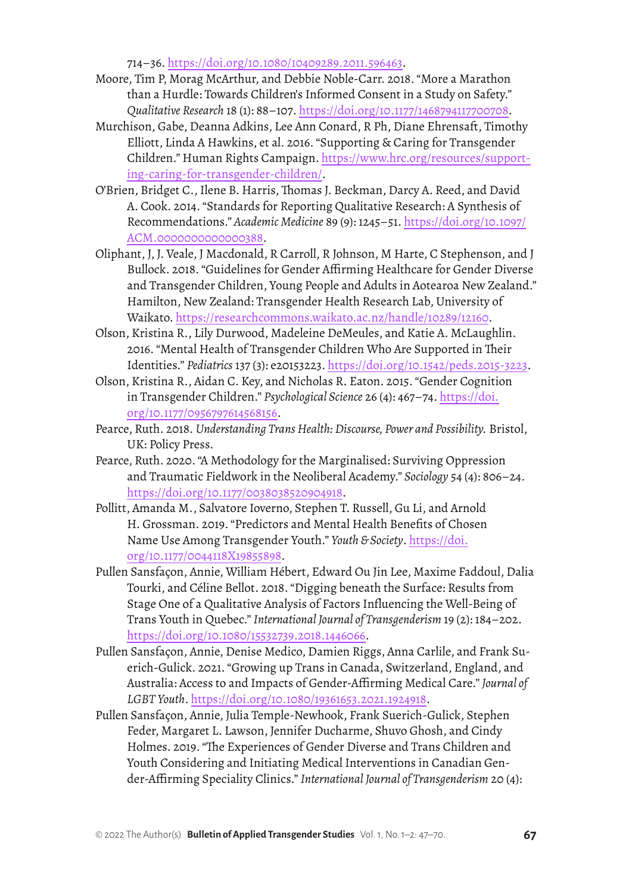714–36.<https://doi.org/10.1080/10409289.2011.596463>.

- Moore, Tim P, Morag McArthur, and Debbie Noble-Carr. 2018. "More a Marathon than a Hurdle: Towards Children's Informed Consent in a Study on Safety." *Qualitative Research* 18 (1): 88–107. <https://doi.org/10.1177/1468794117700708>.
- Murchison, Gabe, Deanna Adkins, Lee Ann Conard, R Ph, Diane Ehrensaft, Timothy Elliott, Linda A Hawkins, et al. 2016. "Supporting & Caring for Transgender Children." Human Rights Campaign. [https://www.hrc.org/resources/support](https://www.hrc.org/resources/supporting-caring-for-transgender-children/)[ing-caring-for-transgender-children/](https://www.hrc.org/resources/supporting-caring-for-transgender-children/).
- O'Brien, Bridget C., Ilene B. Harris, Thomas J. Beckman, Darcy A. Reed, and David A. Cook. 2014. "Standards for Reporting Qualitative Research: A Synthesis of Recommendations." *Academic Medicine* 89 (9): 1245–51. [https://doi.org/10.1097/](https://doi.org/10.1097/ACM.0000000000000388) [ACM.0000000000000388.](https://doi.org/10.1097/ACM.0000000000000388)
- Oliphant, J, J. Veale, J Macdonald, R Carroll, R Johnson, M Harte, C Stephenson, and J Bullock. 2018. "Guidelines for Gender Affirming Healthcare for Gender Diverse and Transgender Children, Young People and Adults in Aotearoa New Zealand." Hamilton, New Zealand: Transgender Health Research Lab, University of Waikato. [https://researchcommons.waikato.ac.nz/handle/10289/12160.](https://researchcommons.waikato.ac.nz/handle/10289/12160)
- Olson, Kristina R., Lily Durwood, Madeleine DeMeules, and Katie A. McLaughlin. 2016. "Mental Health of Transgender Children Who Are Supported in Their Identities." *Pediatrics* 137 (3): e20153223. [https://doi.org/10.1542/peds.2015-3223.](https://doi.org/10.1542/peds.2015-3223)
- Olson, Kristina R., Aidan C. Key, and Nicholas R. Eaton. 2015. "Gender Cognition in Transgender Children." *Psychological Science* 26 (4): 467–74. [https://doi.](https://doi.org/10.1177/0956797614568156) [org/10.1177/0956797614568156](https://doi.org/10.1177/0956797614568156).
- Pearce, Ruth. 2018. *Understanding Trans Health: Discourse, Power and Possibility.* Bristol, UK: Policy Press.
- Pearce, Ruth. 2020. "A Methodology for the Marginalised: Surviving Oppression and Traumatic Fieldwork in the Neoliberal Academy." *Sociology* 54 (4): 806–24. [https://doi.org/10.1177/0038038520904918.](https://doi.org/10.1177/0038038520904918)
- Pollitt, Amanda M., Salvatore Ioverno, Stephen T. Russell, Gu Li, and Arnold H. Grossman. 2019. "Predictors and Mental Health Benefits of Chosen Name Use Among Transgender Youth." *Youth & Society*. [https://doi.](https://doi.org/10.1177/0044118X19855898) [org/10.1177/0044118X19855898](https://doi.org/10.1177/0044118X19855898).
- Pullen Sansfaçon, Annie, William Hébert, Edward Ou Jin Lee, Maxime Faddoul, Dalia Tourki, and Céline Bellot. 2018. "Digging beneath the Surface: Results from Stage One of a Qualitative Analysis of Factors Influencing the Well-Being of Trans Youth in Quebec." *International Journal of Transgenderism* 19 (2): 184–202. <https://doi.org/10.1080/15532739.2018.1446066>.
- Pullen Sansfaçon, Annie, Denise Medico, Damien Riggs, Anna Carlile, and Frank Suerich-Gulick. 2021. "Growing up Trans in Canada, Switzerland, England, and Australia: Access to and Impacts of Gender-Affirming Medical Care." *Journal of LGBT Youth*. [https://doi.org/10.1080/19361653.2021.1924918.](https://doi.org/10.1080/19361653.2021.1924918)
- Pullen Sansfaçon, Annie, Julia Temple-Newhook, Frank Suerich-Gulick, Stephen Feder, Margaret L. Lawson, Jennifer Ducharme, Shuvo Ghosh, and Cindy Holmes. 2019. "The Experiences of Gender Diverse and Trans Children and Youth Considering and Initiating Medical Interventions in Canadian Gender-Affirming Speciality Clinics." *International Journal of Transgenderism* 20 (4):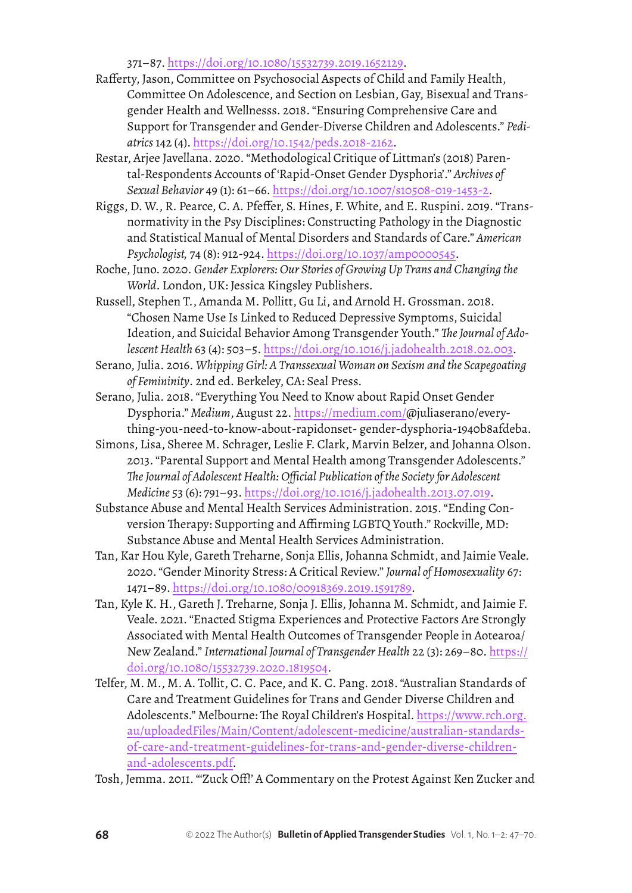371–87. [https://doi.org/10.1080/15532739.2019.1652129.](https://doi.org/10.1080/15532739.2019.1652129)

- Rafferty, Jason, Committee on Psychosocial Aspects of Child and Family Health, Committee On Adolescence, and Section on Lesbian, Gay, Bisexual and Transgender Health and Wellnesss. 2018. "Ensuring Comprehensive Care and Support for Transgender and Gender-Diverse Children and Adolescents." *Pediatrics* 142 (4).<https://doi.org/10.1542/peds.2018-2162>.
- Restar, Arjee Javellana. 2020. "Methodological Critique of Littman's (2018) Parental-Respondents Accounts of 'Rapid-Onset Gender Dysphoria'." *Archives of Sexual Behavior* 49 (1): 61–66. [https://doi.org/10.1007/s10508-019-1453-2.](https://doi.org/10.1007/s10508-019-1453-2)
- Riggs, D. W., R. Pearce, C. A. Pfeffer, S. Hines, F. White, and E. Ruspini. 2019. "Transnormativity in the Psy Disciplines: Constructing Pathology in the Diagnostic and Statistical Manual of Mental Disorders and Standards of Care." *American Psychologist,* 74 (8): 912-924. <https://doi.org/10.1037/amp0000545>.
- Roche, Juno. 2020. *Gender Explorers: Our Stories of Growing Up Trans and Changing the World*. London, UK: Jessica Kingsley Publishers.
- Russell, Stephen T., Amanda M. Pollitt, Gu Li, and Arnold H. Grossman. 2018. "Chosen Name Use Is Linked to Reduced Depressive Symptoms, Suicidal Ideation, and Suicidal Behavior Among Transgender Youth." *The Journal of Adolescent Health* 63 (4): 503–5.<https://doi.org/10.1016/j.jadohealth.2018.02.003>.
- Serano, Julia. 2016. *Whipping Girl: A Transsexual Woman on Sexism and the Scapegoating of Femininity*. 2nd ed. Berkeley, CA: Seal Press.
- Serano, Julia. 2018. "Everything You Need to Know about Rapid Onset Gender Dysphoria." *Medium*, August 22. [https://medium.com/@](https://medium.com/)juliaserano/everything-you-need-to-know-about-rapidonset- gender-dysphoria-1940b8afdeba.
- Simons, Lisa, Sheree M. Schrager, Leslie F. Clark, Marvin Belzer, and Johanna Olson. 2013. "Parental Support and Mental Health among Transgender Adolescents." *The Journal of Adolescent Health: Official Publication of the Society for Adolescent Medicine* 53 (6): 791–93. [https://doi.org/10.1016/j.jadohealth.2013.07.019.](https://doi.org/10.1016/j.jadohealth.2013.07.019)
- Substance Abuse and Mental Health Services Administration. 2015. "Ending Conversion Therapy: Supporting and Affirming LGBTQ Youth." Rockville, MD: Substance Abuse and Mental Health Services Administration.
- Tan, Kar Hou Kyle, Gareth Treharne, Sonja Ellis, Johanna Schmidt, and Jaimie Veale. 2020. "Gender Minority Stress: A Critical Review." *Journal of Homosexuality* 67: 1471–89. [https://doi.org/10.1080/00918369.2019.1591789.](https://doi.org/10.1080/00918369.2019.1591789)
- Tan, Kyle K. H., Gareth J. Treharne, Sonja J. Ellis, Johanna M. Schmidt, and Jaimie F. Veale. 2021. "Enacted Stigma Experiences and Protective Factors Are Strongly Associated with Mental Health Outcomes of Transgender People in Aotearoa/ New Zealand." *International Journal of Transgender Health* 22 (3): 269–80. [https://](https://doi.org/10.1080/15532739.2020.1819504) [doi.org/10.1080/15532739.2020.1819504.](https://doi.org/10.1080/15532739.2020.1819504)
- Telfer, M. M., M. A. Tollit, C. C. Pace, and K. C. Pang. 2018. "Australian Standards of Care and Treatment Guidelines for Trans and Gender Diverse Children and Adolescents." Melbourne: The Royal Children's Hospital. [https://www.rch.org.](https://www.rch.org.au/uploadedFiles/Main/Content/adolescent-medicine/australian-standards-of-care-and-treatment-guidelines-for-trans-and-gender-diverse-children-and-adolescents.pdf) [au/uploadedFiles/Main/Content/adolescent-medicine/australian-standards](https://www.rch.org.au/uploadedFiles/Main/Content/adolescent-medicine/australian-standards-of-care-and-treatment-guidelines-for-trans-and-gender-diverse-children-and-adolescents.pdf)[of-care-and-treatment-guidelines-for-trans-and-gender-diverse-children](https://www.rch.org.au/uploadedFiles/Main/Content/adolescent-medicine/australian-standards-of-care-and-treatment-guidelines-for-trans-and-gender-diverse-children-and-adolescents.pdf)[and-adolescents.pdf](https://www.rch.org.au/uploadedFiles/Main/Content/adolescent-medicine/australian-standards-of-care-and-treatment-guidelines-for-trans-and-gender-diverse-children-and-adolescents.pdf).
- Tosh, Jemma. 2011. "'Zuck Off!' A Commentary on the Protest Against Ken Zucker and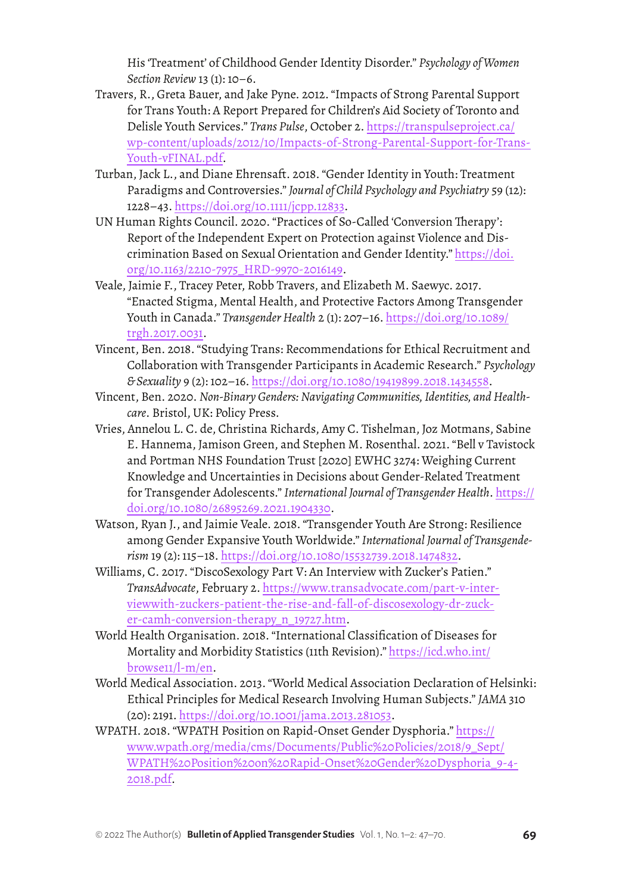His 'Treatment' of Childhood Gender Identity Disorder." *Psychology of Women Section Review* 13 (1): 10–6.

- Travers, R., Greta Bauer, and Jake Pyne. 2012. "Impacts of Strong Parental Support for Trans Youth: A Report Prepared for Children's Aid Society of Toronto and Delisle Youth Services." *Trans Pulse*, October 2. [https://transpulseproject.ca/](https://transpulseproject.ca/wp-content/uploads/2012/10/Impacts-of-Strong-Parental-Support-for-Trans-Youth-vFINAL.pdf) [wp-content/uploads/2012/10/Impacts-of-Strong-Parental-Support-for-Trans-](https://transpulseproject.ca/wp-content/uploads/2012/10/Impacts-of-Strong-Parental-Support-for-Trans-Youth-vFINAL.pdf)[Youth-vFINAL.pdf.](https://transpulseproject.ca/wp-content/uploads/2012/10/Impacts-of-Strong-Parental-Support-for-Trans-Youth-vFINAL.pdf)
- Turban, Jack L., and Diane Ehrensaft. 2018. "Gender Identity in Youth: Treatment Paradigms and Controversies." *Journal of Child Psychology and Psychiatry* 59 (12): 1228–43. <https://doi.org/10.1111/jcpp.12833>.
- UN Human Rights Council. 2020. "Practices of So-Called 'Conversion Therapy': Report of the Independent Expert on Protection against Violence and Discrimination Based on Sexual Orientation and Gender Identity." [https://doi.](https://doi.org/10.1163/2210-7975_HRD-9970-2016149) [org/10.1163/2210-7975\\_HRD-9970-2016149](https://doi.org/10.1163/2210-7975_HRD-9970-2016149).
- Veale, Jaimie F., Tracey Peter, Robb Travers, and Elizabeth M. Saewyc. 2017. "Enacted Stigma, Mental Health, and Protective Factors Among Transgender Youth in Canada." *Transgender Health* 2 (1): 207–16. [https://doi.org/10.1089/](https://doi.org/10.1089/trgh.2017.0031) [trgh.2017.0031](https://doi.org/10.1089/trgh.2017.0031).
- Vincent, Ben. 2018. "Studying Trans: Recommendations for Ethical Recruitment and Collaboration with Transgender Participants in Academic Research." *Psychology & Sexuality* 9 (2): 102–16. [https://doi.org/10.1080/19419899.2018.1434558.](https://doi.org/10.1080/19419899.2018.1434558)
- Vincent, Ben. 2020. *Non-Binary Genders: Navigating Communities, Identities, and Healthcare*. Bristol, UK: Policy Press.
- Vries, Annelou L. C. de, Christina Richards, Amy C. Tishelman, Joz Motmans, Sabine E. Hannema, Jamison Green, and Stephen M. Rosenthal. 2021. "Bell v Tavistock and Portman NHS Foundation Trust [2020] EWHC 3274: Weighing Current Knowledge and Uncertainties in Decisions about Gender-Related Treatment for Transgender Adolescents." *International Journal of Transgender Health*. [https://](https://doi.org/10.1080/26895269.2021.1904330) [doi.org/10.1080/26895269.2021.1904330.](https://doi.org/10.1080/26895269.2021.1904330)
- Watson, Ryan J., and Jaimie Veale. 2018. "Transgender Youth Are Strong: Resilience among Gender Expansive Youth Worldwide." *International Journal of Transgenderism* 19 (2): 115–18.<https://doi.org/10.1080/15532739.2018.1474832>.
- Williams, C. 2017. "DiscoSexology Part V: An Interview with Zucker's Patien." *TransAdvocate*, February 2. [https://www.transadvocate.com/part-v-inter](https://www.transadvocate.com/part-v-interviewwith-zuckers-patient-the-rise-and-fall-of-discosexology-dr-zucker-camh-conversion-therapy_n_19727.htm)[viewwith-zuckers-patient-the-rise-and-fall-of-discosexology-dr-zuck](https://www.transadvocate.com/part-v-interviewwith-zuckers-patient-the-rise-and-fall-of-discosexology-dr-zucker-camh-conversion-therapy_n_19727.htm)[er-camh-conversion-therapy\\_n\\_19727.htm](https://www.transadvocate.com/part-v-interviewwith-zuckers-patient-the-rise-and-fall-of-discosexology-dr-zucker-camh-conversion-therapy_n_19727.htm).
- World Health Organisation. 2018. "International Classification of Diseases for Mortality and Morbidity Statistics (11th Revision)." [https://icd.who.int/](https://icd.who.int/browse11/l-m/en) [browse11/l-m/en](https://icd.who.int/browse11/l-m/en).
- World Medical Association. 2013. "World Medical Association Declaration of Helsinki: Ethical Principles for Medical Research Involving Human Subjects." *JAMA* 310 (20): 2191. [https://doi.org/10.1001/jama.2013.281053.](https://doi.org/10.1001/jama.2013.281053)
- WPATH. 2018. "WPATH Position on Rapid-Onset Gender Dysphoria." [https://](https://www.wpath.org/media/cms/Documents/Public%20Policies/2018/9_Sept/WPATH%20Position%20on%20Rapid-Onset%20Gender%20Dysphoria_9-4-2018.pdf) [www.wpath.org/media/cms/Documents/Public%20Policies/2018/9\\_Sept/](https://www.wpath.org/media/cms/Documents/Public%20Policies/2018/9_Sept/WPATH%20Position%20on%20Rapid-Onset%20Gender%20Dysphoria_9-4-2018.pdf) [WPATH%20Position%20on%20Rapid-Onset%20Gender%20Dysphoria\\_9-4-](https://www.wpath.org/media/cms/Documents/Public%20Policies/2018/9_Sept/WPATH%20Position%20on%20Rapid-Onset%20Gender%20Dysphoria_9-4-2018.pdf) [2018.pdf.](https://www.wpath.org/media/cms/Documents/Public%20Policies/2018/9_Sept/WPATH%20Position%20on%20Rapid-Onset%20Gender%20Dysphoria_9-4-2018.pdf)